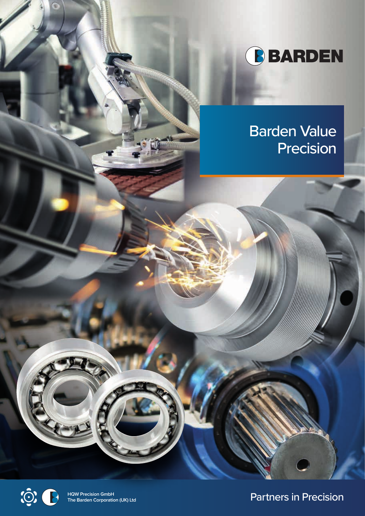

# Barden Value Precision



**HQW Precision GmbH**

**Partners in Precision**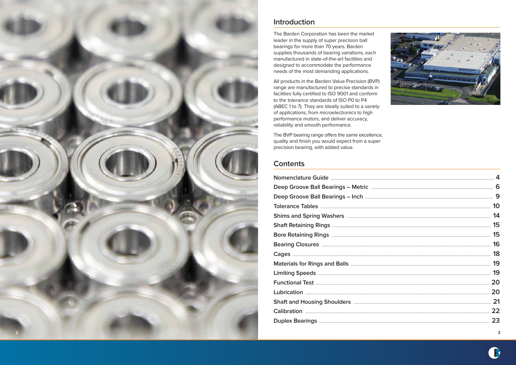### **Introduction**

The Barden Corporation has been the market leader in the supply of super precision ball bearings for more than 70 years. Barden supplies thousands of bearing variations, each manufactured in state-of-the-art facilities and designed to accommodate the performance needs of the most demanding applications.

All products in the Barden Value Precision (BVP) range are manufactured to precise standards in facilities fully certified to ISO 9001 and conform to the tolerance standards of ISO P0 to P4 (ABEC 1 to 7). They are ideally suited to a variety of applications, from microelectronics to high performance motors, and deliver accuracy, reliability and smooth performance.

The BVP bearing range offers the same excellence, quality and finish you would expect from a super precision bearing, with added value.

## **Contents**



| 22 |
|----|
| 23 |
|    |





**3**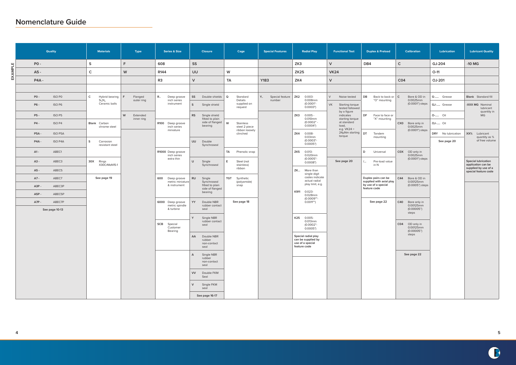# **Nomenclature Guide**



EXAMPLE **EXAMPLE**

| <b>Quality</b>              | <b>Materials</b>                                                         | Type                        | <b>Series &amp; Size</b>               | <b>Closure</b>                                    | Cage                               | <b>Special Features</b>        | <b>Radial Play</b>                        | <b>Functional Test</b>                              | <b>Duplex &amp; Preload</b>                                     | <b>Calibration</b>                                       | Lubrication        | <b>Lubricant Quality</b>                                           |
|-----------------------------|--------------------------------------------------------------------------|-----------------------------|----------------------------------------|---------------------------------------------------|------------------------------------|--------------------------------|-------------------------------------------|-----------------------------------------------------|-----------------------------------------------------------------|----------------------------------------------------------|--------------------|--------------------------------------------------------------------|
| $PO -$                      | $\sf S$                                                                  | F                           | 608                                    | <b>SS</b>                                         |                                    |                                | ZK3                                       | $\vee$                                              | DB4                                                             | $\mathsf C$                                              | GJ-204             | $-10$ MG                                                           |
| A5 -                        | $\mathsf{C}$                                                             | W                           | R144                                   | UU                                                | W                                  |                                | <b>ZK25</b>                               | <b>VK24</b>                                         |                                                                 |                                                          | $O-11$             |                                                                    |
| P4A-                        |                                                                          |                             | R <sub>3</sub>                         | $\vee$                                            | TA                                 | <b>Y183</b>                    | ZK4                                       | $\mathsf{V}$                                        |                                                                 | CO <sub>4</sub>                                          | OJ-201             |                                                                    |
|                             |                                                                          |                             |                                        |                                                   |                                    |                                |                                           |                                                     |                                                                 |                                                          |                    |                                                                    |
| $PO -$<br>ISO PO            | $\mathsf{C}^-$<br>Hybrid bearing $ F $<br>Si <sub>3</sub> N <sub>4</sub> | Flanged<br>outer ring       | <b>R</b><br>Deep groove<br>inch series | SS<br>Double shields                              | $\mathbf Q$<br>Standard<br>Details | Y<br>Special feature<br>number | ZK <sub>2</sub><br>$0.003 -$<br>0.008mm   | $\vee$<br>Noise tested                              | DB<br>Back to back or $\mathsf{C}$<br>"O" mounting              | Bore & OD in<br>0.0025mm                                 | G- Grease          | <b>Blank</b> Standard fill                                         |
| P6 -<br>ISO <sub>P6</sub>   | Ceramic balls                                                            |                             | instrument                             | $\mathsf{S}$<br>Single shield                     | supplied on<br>request             |                                | $(0.0001" -$<br>0.0003"                   | <b>VK</b><br>Starting torque<br>tested followed     |                                                                 | (0.0001") steps                                          | GJ- Grease         | -XXX MG Nominal<br>lubricant                                       |
| P5-<br>ISO <sub>P5</sub>    |                                                                          | W<br>Extended<br>inner ring |                                        | <b>RS</b><br>Single shield<br>fitted to plain     |                                    |                                | ZK3<br>$0.005 -$<br>0.010mm               | by a figure<br>indicates<br>starting torque         | DF<br>Face to face or<br>"X" mounting                           |                                                          | <b>O-</b> Oil      | quantity in<br><b>MG</b>                                           |
| ISO <sub>P4</sub><br>$P4 -$ | Blank Carbon<br>chrome steel                                             |                             | R100 Deep groove<br>inch series        | side of flanged<br>bearing                        | W<br>Stainless<br>steel 2 piece    |                                | $(0.0002" -$<br>0.0004"                   | at standard<br>load,                                |                                                                 | CX0 Bore only in<br>0.0025mm                             | <b>OJ-</b> Oil     |                                                                    |
| P5A-<br>ISO P5A             |                                                                          |                             | miniature                              |                                                   | ribbon loosely<br>clinched         |                                | ZK4<br>0.008-                             | e.g. $VK24 =$<br>$24\mu$ Nm starting   DT<br>torque | Tandem                                                          | (0.0001") steps                                          | DRY No lubrication | XX% Lubricant                                                      |
| $P4A -$<br><b>ISO P4A</b>   | $\mathsf{s}$<br>Corrosion<br>resistant steel                             |                             |                                        | <b>UU</b><br>Double<br>Synchroseal                |                                    |                                | $0.03$ mm<br>$(0.0003" -$<br>0.0005"      |                                                     | mounting                                                        |                                                          | See page 20        | quantity as %<br>of free volume                                    |
| ABEC1<br>$A1 -$             |                                                                          |                             | R1000 Deep groove                      |                                                   | TA<br>Phenolic snap                |                                | ZK5<br>$0.013 -$                          |                                                     | D<br>Universal                                                  | COX OD only in                                           |                    |                                                                    |
| A3 -<br>ABEC3               | 30X Rings                                                                |                             | inch series<br>extra thin              | $\cup$<br>Single                                  | E.<br>Steel (not                   |                                | 0.020mm<br>$(0.0005" -$<br>0.0008"        | See page 20                                         | Pre-load value<br>$/$                                           | 0.0025mm<br>(0.0001") steps                              |                    | <b>Special lubrication</b>                                         |
| A5 -<br>ABEC5               | X30CrMoN15-1                                                             |                             |                                        | Synchroseal                                       | stainless)<br>ribbon               |                                | <b>ZK</b><br>More than                    |                                                     | in N                                                            |                                                          |                    | application can be<br>supplied by use of a<br>special feature code |
| ABEC7<br>A7 -               | See page 19                                                              |                             | 600<br>Deep groove                     | <b>RU</b><br>Single                               | TGT Synthetic                      |                                | single digit<br>codes indicate            |                                                     | Duplex pairs can be                                             | C44<br>Bore & OD in                                      |                    |                                                                    |
| ABEC3P<br>A3P-              |                                                                          |                             | metric miniature<br>& instrument       | Synchroseal<br>fitted to plain<br>side of flanged | (polyamide)<br>snap                |                                | actual radial<br>play limit, e.g.         |                                                     | supplied with axial play<br>by use of a special<br>feature code | 0.00125mm<br>(0.0005") steps                             |                    |                                                                    |
| A5P-<br>ABEC5P              |                                                                          |                             |                                        | bearing                                           |                                    |                                | K911<br>$0.023 -$<br>0.028mm              |                                                     |                                                                 |                                                          |                    |                                                                    |
| $A7P -$<br>ABEC7P           |                                                                          |                             | 6000 Deep groove<br>metric spindle     | YY<br>Double NBR<br>rubber contact                | See page 18                        |                                | (0.0009""-<br>$0.0011$ "")                |                                                     | See page 22                                                     | C40 Bore only in<br>0.00125mm                            |                    |                                                                    |
| See page 10-13              |                                                                          |                             | & turbine                              | seal                                              |                                    |                                |                                           |                                                     |                                                                 | (0.00005")<br>steps                                      |                    |                                                                    |
|                             |                                                                          |                             |                                        | $\checkmark$<br>Single NBR<br>rubber contact      |                                    |                                | K25<br>$0.005 -$<br>$0.013$ mm            |                                                     |                                                                 |                                                          |                    |                                                                    |
|                             |                                                                          |                             | SCB<br>Special<br>Customer<br>Bearing  | seal                                              |                                    |                                | $(0.0002" -$<br>0.0005"                   |                                                     |                                                                 | CO <sub>4</sub><br>OD only in<br>0.00125mm<br>(0.00005") |                    |                                                                    |
|                             |                                                                          |                             |                                        | Double NBR<br>AA<br>rubber                        |                                    |                                | Special radial play<br>can be supplied by |                                                     |                                                                 | steps                                                    |                    |                                                                    |
|                             |                                                                          |                             |                                        | non-contact<br>seal                               |                                    |                                | use of a special<br>feature code          |                                                     |                                                                 |                                                          |                    |                                                                    |
|                             |                                                                          |                             |                                        | Single NBR<br>$\overline{A}$<br>rubber            |                                    |                                |                                           |                                                     |                                                                 | See page 22                                              |                    |                                                                    |
|                             |                                                                          |                             |                                        | non-contact<br>seal                               |                                    |                                |                                           |                                                     |                                                                 |                                                          |                    |                                                                    |
|                             |                                                                          |                             |                                        | <b>VV</b><br>Double FKM<br>Seal                   |                                    |                                |                                           |                                                     |                                                                 |                                                          |                    |                                                                    |
|                             |                                                                          |                             |                                        | Single FKM<br>$\vee$                              |                                    |                                |                                           |                                                     |                                                                 |                                                          |                    |                                                                    |
|                             |                                                                          |                             |                                        | seal                                              |                                    |                                |                                           |                                                     |                                                                 |                                                          |                    |                                                                    |
|                             |                                                                          |                             |                                        | See page 16-17                                    |                                    |                                |                                           |                                                     |                                                                 |                                                          |                    |                                                                    |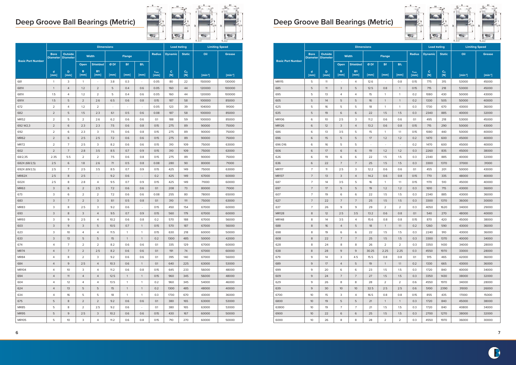|                          |                                |                                   |                | <b>Dimensions</b>        |                          |                          |                          |                    | <b>Load Rating</b> |                       | <b>Limiting Speed</b> |               |
|--------------------------|--------------------------------|-----------------------------------|----------------|--------------------------|--------------------------|--------------------------|--------------------------|--------------------|--------------------|-----------------------|-----------------------|---------------|
|                          | <b>Bore</b><br><b>Diameter</b> | <b>Outside</b><br><b>Diameter</b> | Width          |                          |                          | <b>Flange</b>            |                          | <b>Radius</b>      | <b>Dynamic</b>     | <b>Static</b>         | Oil                   | <b>Grease</b> |
| <b>Basic Part Number</b> |                                |                                   | Open           | <b>Shielded</b>          | Ø Df                     | <b>Bf</b>                | $Bf_1$                   |                    |                    |                       |                       |               |
|                          | $\mathbf d$<br>[mm]            | D<br>[mm]                         | B<br>[mm]      | <b>B1</b><br>[mm]        | [mm]                     | [mm]                     | [mm]                     | $r_{\min}$<br>[mm] | c<br>[N]           | C <sub>o</sub><br>[N] | $[min-1]$             | $[min-1]$     |
| 681                      | $\mathbf{1}$                   | 3                                 | $\mathbf{1}$   |                          | 3.8                      | 0.3                      | $\overline{\phantom{a}}$ | 0.05               | 80                 | 22                    | 150000                | 130000        |
| 681X                     | $\mathbf{1}$                   | $\overline{4}$                    | 1.2            | 2                        | 5                        | 0.4                      | 0.6                      | 0.05               | 160                | 44                    | 120000                | 100000        |
| 681X                     | 1.5                            | 4                                 | 1.2            | $\overline{2}$           | 5                        | 0.4                      | 0.6                      | 0.05               | 160                | 44                    | 120000                | 100000        |
| 691X                     | 1.5                            | 5                                 | $\overline{2}$ | 2.6                      | 6.5                      | 0.6                      | 0.8                      | 0.15               | 187                | 58                    | 100000                | 85000         |
| 672                      | $\overline{2}$                 | 4                                 | 1.2            | $\overline{2}$           | $\overline{\phantom{a}}$ | $\overline{\phantom{a}}$ | ÷,                       | 0.05               | 123                | 39                    | 104000                | 91000         |
| 682                      | $\overline{2}$                 | 5                                 | 1.5            | 2.3                      | 6.1                      | 0.5                      | 0.6                      | 0.08               | 187                | 58                    | 100000                | 85000         |
| <b>MR52</b>              | $\overline{2}$                 | 5                                 | 2              | 2.6                      | 6.2                      | 0.6                      | 0.6                      | 0.1                | 188                | 59                    | 100000                | 85000         |
| 692 W2,3                 | $\overline{2}$                 | 6                                 | 2.3            | 2.3                      | 7.5                      | 0.6                      | 0.8                      | 0.15               | 275                | 89                    | 90000                 | 75000         |
| 692                      | $\overline{2}$                 | 6                                 | 2.3            | 3                        | 7.5                      | 0.6                      | 0.8                      | 0.15               | 275                | 89                    | 90000                 | 75000         |
| <b>MR62</b>              | $\overline{2}$                 | 6                                 | 2.5            | 2.5                      | 7.2                      | 0.6                      | 0.6                      | 0.15               | 275                | 89                    | 90000                 | 75000         |
| <b>MR72</b>              | $\overline{2}$                 | $\overline{7}$                    | 2.5            | 3                        | 8.2                      | 0.6                      | 0.6                      | 0.15               | 310                | 109                   | 75000                 | 63000         |
| 602                      | $\overline{2}$                 | $\overline{7}$                    | 2.8            | 3.5                      | 8.5                      | 0.7                      | 0.9                      | 0.15               | 310                | 109                   | 75000                 | 63000         |
| 68/2,35                  | 2.35                           | 5.5                               | $\overline{2}$ | 2                        | 7.5                      | 0.6                      | 0.8                      | 0.15               | 275                | 89                    | 90000                 | 75000         |
| 682X (68/2,5)            | 2.5                            | 6                                 | 1.8            | 2.6                      | 7.1                      | 0.5                      | 0.8                      | 0.08               | 280                | 90                    | 80000                 | 71000         |
| 692X (69/2,5)            | 2.5                            | $\overline{7}$                    | 2.5            | 3.5                      | 8.5                      | 0.7                      | 0.9                      | 0.15               | 425                | 149                   | 75000                 | 63000         |
| MR82X                    | 2.5                            | 8                                 | 2.5            | $\overline{\phantom{a}}$ | 9.2                      | 0.6                      | $\overline{a}$           | 0.2                | 425                | 149                   | 67000                 | 60000         |
| 602X                     | 2.5                            | 8                                 | 2.8            | 4                        | 9.5                      | 0.7                      | 0.9                      | 0.15               | 425                | 149                   | 71000                 | 60000         |
| <b>MR63</b>              | 3                              | 6                                 | $\overline{2}$ | 2.5                      | 7.2                      | 0.6                      | 0.6                      | 0.1                | 208                | 73                    | 80000                 | 71000         |
| 673                      | 3                              | 6                                 | $\overline{2}$ | 2                        | 7.2                      | 0.6                      | 0.6                      | 0.08               | 255                | 80                    | 78000                 | 65000         |
| 683                      | $\mathsf 3$                    | $\overline{7}$                    | $\overline{2}$ | 3                        | 8.1                      | 0.5                      | 0.8                      | 0.1                | 310                | 111                   | 75000                 | 63000         |
| <b>MR83</b>              | 3                              | 8                                 | 2.5            | 3                        | 9.2                      | 0.6                      | $\overline{a}$           | 0.15               | 450                | 154                   | 67000                 | 60000         |
| 693                      | $\mathsf 3$                    | 8                                 | 3              | $\overline{4}$           | 9.5                      | 0.7                      | 0.9                      | 0.15               | 560                | 179                   | 67000                 | 60000         |
| MR93                     | 3                              | 9                                 | 2.5            | 4                        | 10.2                     | 0.6                      | 0.8                      | 0.2                | 570                | 188                   | 67000                 | 56000         |
| 603                      | 3                              | 9                                 | 3              | 5                        | 10.5                     | 0.7                      | $\mathbf{1}$             | 0.15               | 570                | 187                   | 67000                 | 56000         |
| 623                      | 3                              | 10                                | $\overline{4}$ | 4                        | 11.5                     | $\mathbf{1}$             | $\mathbf{1}$             | 0.15               | 630                | 218                   | 60000                 | 50000         |
| 633                      | 3                              | 13                                | 5              | 5                        | 15                       | $\mathbf{1}$             | $\mathbf{1}$             | 0.2                | 1300               | 485                   | 50000                 | 42000         |
| 674                      | 4                              | $\overline{7}$                    | $\overline{2}$ | 2                        | 8.2                      | 0.6                      | 0.6                      | 0.1                | 335                | 129                   | 67000                 | 60000         |
| <b>MR74</b>              | $\overline{4}$                 | $\overline{7}$                    | $\overline{2}$ | 2.5                      | 8.2                      | 0.6                      | 0.6                      | 0.1                | 191                | 74                    | 67000                 | 60000         |
| <b>MR84</b>              | $\overline{4}$                 | 8                                 | $\overline{2}$ | 3                        | 9.2                      | 0.6                      | 0.6                      | 0.1                | 395                | 140                   | 67000                 | 56000         |
| 684                      | $\overline{4}$                 | $\overline{9}$                    | 2.5            | $\overline{4}$           | 10.3                     | 0.6                      | $\mathbf{1}$             | 0.1                | 640                | 225                   | 63000                 | 53000         |
| <b>MR104</b>             | $\overline{4}$                 | 10                                | 3              | $\overline{4}$           | 11.2                     | 0.6                      | 0.8                      | 0.15               | 645                | 233                   | 56000                 | 48000         |
| 694                      | $\overline{4}$                 | 11                                | $\overline{4}$ | $\overline{4}$           | 12.5                     | $\mathbf{1}$             | $\mathbf{1}$             | 0.15               | 960                | 345                   | 56000                 | 48000         |
| 604                      | $\overline{4}$                 | 12                                | 4              | 4                        | 13.5                     | $\mathbf{1}$             | $\mathbf{1}$             | 0.2                | 960                | 345                   | 54000                 | 46000         |
| 624                      | $\overline{4}$                 | 13                                | 5              | 5                        | 15                       | $\mathbf{1}$             | $\mathbf{1}$             | 0.2                | 1300               | 485                   | 48000                 | 40000         |
| 634                      | $\overline{4}$                 | 16                                | 5              | 5                        | 18                       | $\mathbf{1}$             | $\mathbf{1}$             | 0.3                | 1730               | 670                   | 43000                 | 36000         |
| 675                      | 5                              | 8                                 | $\overline{2}$ | $\overline{2}$           | 9.2                      | 0.6                      | 0.6                      | 0.1                | 380                | 165                   | 63000                 | 53000         |
| <b>MR85</b>              | 5                              | 8                                 | $\overline{2}$ | 2.5                      | 9.2                      | 0.6                      | $\overline{\phantom{a}}$ | 0.1                | 380                | 165                   | 63000                 | 53000         |
| <b>MR95</b>              | 5                              | $\mathsf{9}$                      | 2.5            | 3                        | 10.2                     | 0.6                      | 0.6                      | 0.15               | 430                | 167                   | 60000                 | 50000         |
| <b>MR105</b>             | 5                              | 10                                | 3              | 4                        | 11.2                     | 0.6                      | 0.8                      | 0.15               | 710                | 270                   | 60000                 | 50000         |





|                          |                 |                 |                | <b>Dimensions</b> |                |                |                 |                    | <b>Load Rating</b> |                         |           | <b>Limiting Speed</b> |
|--------------------------|-----------------|-----------------|----------------|-------------------|----------------|----------------|-----------------|--------------------|--------------------|-------------------------|-----------|-----------------------|
|                          | <b>Bore</b>     | <b>Outside</b>  |                | <b>Width</b>      |                | <b>Flange</b>  |                 | <b>Radius</b>      | <b>Dynamic</b>     | <b>Static</b>           | Oil       | <b>Grease</b>         |
| <b>Basic Part Number</b> | <b>Diameter</b> | <b>Diameter</b> | Open           | <b>Shielded</b>   | Ø Df           | <b>Bf</b>      | Bf <sub>1</sub> |                    |                    |                         |           |                       |
|                          | d               | D               | B              | <b>B1</b>         |                |                |                 |                    | $\mathbf C$        | $\mathsf{C}_\mathsf{0}$ |           |                       |
|                          | [mm]            | [mm]            | [mm]           | [mm]              | [mm]           | [mm]           | [mm]            | $r_{\min}$<br>[mm] | [N]                | [N]                     | $[min-1]$ | $[min-1]$             |
| <b>MR115</b>             | 5               | 11              | ÷,             | 4                 | 12.6           | $\overline{a}$ | 0.8             | 0.15               | 775                | 315                     | 53000     | 45000                 |
| 685                      | 5               | 11              | 3              | 5                 | 12.5           | 0.8            | $\mathbf{1}$    | 0.15               | 715                | 218                     | 53000     | 45000                 |
| 695                      | 5               | 13              | 4              | 4                 | 15             | $\mathbf{1}$   | 1               | 0.2                | 1080               | 430                     | 50000     | 43000                 |
| 605                      | 5               | 14              | 5              | 5                 | 16             | $\mathbf{1}$   | $\mathbf{1}$    | 0.2                | 1330               | 505                     | 50000     | 40000                 |
| 625                      | 5               | 16              | 5              | 5                 | 18             | 1              | 1               | 0.3                | 1730               | 670                     | 43000     | 36000                 |
| 635                      | 5               | 19              | $\,$ 6         | 6                 | 22             | 1.5            | 1.5             | 0.3                | 2340               | 885                     | 40000     | 32000                 |
| <b>MR106</b>             | 6               | 10              | 2.5            | 3                 | 11.2           | 0.6            | 0.6             | 0.1                | 495                | 218                     | 53000     | 45000                 |
| <b>MR126</b>             | 6               | 12              | 3              | $\overline{4}$    | 13.2           | 0.6            | 0.8             | 0.15               | 715                | 290                     | 50000     | 43000                 |
| 686                      | 6               | 13              | 3.5            | 5                 | 15             | $\mathbf{1}$   | 1.1             | 0.15               | 1080               | 440                     | 50000     | 40000                 |
| 696                      | 6               | 15              | 5              | 5                 | 17             | 1.2            | 1.2             | 0.2                | 1470               | 600                     | 45000     | 40000                 |
| 696 D16                  | 6               | 16              | 5              | 5                 | $\overline{a}$ | $\overline{a}$ | $\overline{a}$  | 0.2                | 1470               | 600                     | 45000     | 40000                 |
| 606                      | 6               | 17              | 6              | 6                 | 19             | 1.2            | 1.2             | 0.3                | 2260               | 835                     | 45000     | 38000                 |
| 626                      | 6               | 19              | 6              | 6                 | 22             | 1.5            | 1.5             | 0.3                | 2340               | 885                     | 40000     | 32000                 |
| 636                      | 6               | 22              | $\overline{7}$ | $\overline{7}$    | 25             | 1.5            | 1.5             | 0.3                | 3300               | 1370                    | 37000     | 31000                 |
| <b>MR117</b>             | $\overline{7}$  | 11              | 2.5            | 3                 | 12.2           | 0.6            | 0.6             | 0.1                | 455                | 201                     | 50000     | 43000                 |
| <b>MR137</b>             | $\overline{7}$  | 13              | 3              | $\overline{4}$    | 14.2           | 0.6            | 0.8             | 0.15               | 770                | 335                     | 48000     | 40000                 |
| 687                      | $\overline{7}$  | 14              | 3.5            | 5                 | 16             | $\mathbf{1}$   | 1.1             | 0.15               | 1170               | 510                     | 45000     | 40000                 |
| 697                      | $\overline{7}$  | 17              | 5              | 5                 | 19             | 1.2            | 1.2             | 0.3                | 1610               | 715                     | 43000     | 36000                 |
| 607                      | $\overline{7}$  | 19              | 6              | 6                 | 22             | 1.5            | 1.5             | 0.3                | 2340               | 885                     | 43000     | 36000                 |
| 627                      | $\overline{7}$  | 22              | $\overline{7}$ | $\overline{7}$    | 25             | 1.5            | 1.5             | 0.3                | 3300               | 1370                    | 36000     | 30000                 |
| 637                      | $\overline{7}$  | 26              | 9              | 9                 | 29             | $\overline{2}$ | $\overline{2}$  | 0.3                | 4050               | 1620                    | 34000     | 29000                 |
| <b>MR128</b>             | 8               | 12              | 2.5            | 3.5               | 13.2           | 0.6            | 0.8             | 0.1                | 540                | 270                     | 48000     | 40000                 |
| <b>MR148</b>             | 8               | 14              | 3.5            | $\overline{4}$    | 15.6           | 0.8            | 0.8             | 0.15               | 870                | 420                     | 45000     | 38000                 |
| 688                      | 8               | 16              | $\overline{4}$ | 5                 | 18             | $\mathbf{1}$   | 1.1             | 0.2                | 1260               | 590                     | 43000     | 36000                 |
| 698                      | 8               | 19              | 6              | 6                 | 22             | 1.5            | 1.5             | 0.3                | 2240               | 910                     | 43000     | 36000                 |
| 608                      | 8               | 22              | $\overline{7}$ | $\overline{7}$    | 25             | 1.5            | 1.5             | 0.3                | 3300               | 1370                    | 40000     | 34000                 |
| 628                      | 8               | 24              | 8              | 8                 | 26             | $\overline{2}$ | $\overline{2}$  | 0.3                | 3350               | 1430                    | 34000     | 28000                 |
| 638                      | 8               | 28              | $\mathsf{9}$   | 9                 | 30.25          | 2.25           | 2.25            | 0.3                | 4550               | 1970                    | 33000     | 28000                 |
| 679                      | 9               | 14              | 3              | 4.5               | 15.5           | 0.8            | 0.8             | 0.1                | 915                | 465                     | 42000     | 36000                 |
| 689                      | 9               | 17              | $\overline{4}$ | 5                 | 19             | $\mathbf{1}$   | 1.1             | 0.2                | 1330               | 665                     | 43000     | 36000                 |
| 699                      | 9               | 20              | 6              | 6                 | 23             | 1.5            | 1.5             | 0.3                | 1720               | 840                     | 40000     | 34000                 |
| 609                      | $\mathsf g$     | 24              | $\overline{7}$ | $\overline{7}$    | 27             | 1.5            | 1.5             | 0.3                | 3350               | 1430                    | 38000     | 32000                 |
| 629                      | 9               | 26              | 8              | 8                 | 28             | $\overline{2}$ | $\overline{2}$  | 0.6                | 4550               | 1970                    | 34000     | 28000                 |
| 639                      | 9               | 30              | 10             | 10                | 32.5           | 2.5            | 2.5             | 0.6                | 5100               | 2390                    | 31000     | 26000                 |
| 6700                     | 10 <sup>°</sup> | 15              | 3              | $\overline{4}$    | 16.5           | 0.8            | 0.8             | 0.15               | 855                | 435                     | 17000     | 15000                 |
| 6800                     | 10 <sup>°</sup> | 19              | $\mathbf 5$    | 5                 | 21             | $\mathbf{1}$   | $\mathbf{1}$    | 0.3                | 1720               | 840                     | 45000     | 38000                 |
| 63800                    | 10 <sup>°</sup> | 19              | $\overline{7}$ | $\overline{7}$    | 21             | 1.5            | 1.5             | 0.3                | 1720               | 840                     | 40800     | 34000                 |
| 6900                     | 10 <sup>°</sup> | 22              | 6              | 6                 | 25             | 1.5            | 1.5             | 0.3                | 2700               | 1270                    | 38000     | 32000                 |
| 6000                     | 10              | 26              | 8              | 8                 | 28             | 2              | $\overline{2}$  | 0.3                | 4550               | 1970                    | 36000     | 30000                 |

# **Deep Groove Ball Bearings (Metric) Deep Groove Ball Bearings (Metric)**



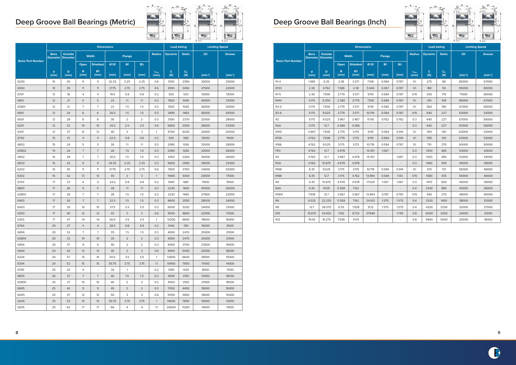|                          |                                |                                   |           | <b>Dimensions</b> |                             |                          |                             |                    | <b>Load Rating</b>  |               |           | <b>Limiting Speed</b> |
|--------------------------|--------------------------------|-----------------------------------|-----------|-------------------|-----------------------------|--------------------------|-----------------------------|--------------------|---------------------|---------------|-----------|-----------------------|
|                          | <b>Bore</b><br><b>Diameter</b> | <b>Outside</b><br><b>Diameter</b> |           | <b>Width</b>      |                             | <b>Flange</b>            |                             | <b>Radius</b>      | <b>Dynamic</b>      | <b>Static</b> | Oil       | <b>Grease</b>         |
| <b>Basic Part Number</b> |                                |                                   | Open      | <b>Shielded</b>   | Ø Df                        | <b>Bf</b>                | $Bf_1$                      |                    |                     |               |           |                       |
|                          | d<br>[mm]                      | D<br>[mm]                         | B<br>[mm] | <b>B1</b><br>[mm] | [mm]                        | [mm]                     | [mm]                        | $r_{\min}$<br>[mm] | $\mathbf{C}$<br>[N] | $C_0$<br>[N]  | $[min-1]$ | $[min-1]$             |
| R <sub>1</sub> -4        | 1.984                          | 6.35                              | 2.38      | 3.571             | 7.518                       | 0.584                    | 0.787                       | 0.1                | 275                 | 88            | 80000     | 67000                 |
| R133                     | 2.38                           | 4.762                             | 1.588     | 2.38              | 5.944                       | 0.457                    | 0.787                       | O.1                | 188                 | 59            | 95000     | 80000                 |
| R <sub>1</sub> -5        | 2.38                           | 7.938                             | 2.779     | 3.571             | 9.119                       | 0.584                    | 0.787                       | 0.15               | 555                 | 179           | 71000     | 60000                 |
| R144                     | 3.175                          | 6.350                             | 2.380     | 2.779             | 7.518                       | 0.584                    | 0.787                       | 0.1                | 310                 | 108           | 80000     | 67000                 |
| $R2-5$                   | 3.175                          | 7.938                             | 2.779     | 3.571             | 9.119                       | 0.584                    | 0.787                       | 0.1                | 560                 | 180           | 67000     | 60000                 |
| $R2-6$                   | 3.175                          | 9.525                             | 2.779     | 3.571             | 10.719                      | 0.584                    | 0.787                       | 0.15               | 640                 | 227           | 63000     | 53000                 |
| R <sub>2</sub>           | 3.175                          | 9.525                             | 3.967     | 3.967             | 11.176                      | 0.762                    | 0.762                       | 0.3                | 640                 | 227           | 67000     | 56000                 |
| R <sub>2</sub> A         | 3.175                          | 12.7                              | 4.366     | 4.366             | $\mathcal{L}_{\mathcal{A}}$ | $\mathbb{Z}^2$           | $\sim$                      | 0.3                | 640                 | 227           | 67000     | 56000                 |
| R <sub>155</sub>         | 3.967                          | 7.938                             | 2.779     | 3.175             | 9.119                       | 0.584                    | 0.914                       | 0.1                | 395                 | 140           | 63000     | 53000                 |
| R156                     | 4.762                          | 7.938                             | 2.779     | 3.175             | 9.119                       | 0.584                    | 0.914                       | O.1                | 395                 | 140           | 63000     | 53000                 |
| R166                     | 4.762                          | 9.525                             | 3.175     | 3.175             | 10.719                      | 0.584                    | 0.787                       | 0.1                | 710                 | 270           | 60000     | 50000                 |
| FR <sub>3</sub>          | 4.762                          | 12.7                              | 4.978     |                   | 14.351                      | 1.067                    |                             | 0.3                | 1300                | 485           | 53000     | 43000                 |
| R <sub>3</sub>           | 4.762                          | 12.7                              | 3.967     | 4.978             | 14.351                      | $\bar{\phantom{a}}$      | 1.067                       | 0.3                | 1300                | 485           | 53000     | 43000                 |
| R <sub>3</sub> A         | 4.762                          | 15.875                            | 4.978     | 4.978             | $\overline{\phantom{a}}$    |                          |                             | 0.3                | 1460                | 595           | 45000     | 38000                 |
| R <sub>168</sub>         | 6.35                           | 9.525                             | 3.175     | 3.175             | 10.719                      | 0.584                    | 0.914                       | 0.1                | 370                 | 172           | 56000     | 48000                 |
| R188                     | 6.35                           | 12.7                              | 3.175     | 4.762             | 13.894                      | 0.584                    | 1.143                       | 0.15               | 1080                | 435           | 50000     | 40000                 |
| R4                       | 6.35                           | 15.875                            | 4.978     | 4.978             | 17.526                      | 1.067                    | 1.067                       | 0.3                | 1470                | 600           | 45000     | 38000                 |
| R4A                      | 6.35                           | 19.05                             | 5.558     | 7.142             | $\mathcal{L}_{\mathcal{A}}$ | $\overline{\phantom{a}}$ | $\mathcal{L}_{\mathcal{A}}$ | 0.4                | 2340                | 885           | 43000     | 36000                 |
| R1810                    | 7.938                          | 12.7                              | 3.967     | 3.967             | 13.894                      | 0.787                    | 0.787                       | 0.15               | 540                 | 270           | 48000     | 40000                 |
| R <sub>6</sub>           | 9.525                          | 22.225                            | 5.558     | 7.142             | 24.613                      | 1.575                    | 1.575                       | 0.4                | 3330                | 1400          | 38000     | 32000                 |
| R8                       | 12.7                           | 28.575                            | 6.35      | 7.938             | 31.12                       | 1.575                    | 1.575                       | 0.4                | 4320                | 2250          | 32000     | 27000                 |
| <b>R10</b>               | 15.875                         | 34.925                            | 7.142     | 8.733             | 37.846                      | $\overline{\phantom{a}}$ | 1.745                       | 0.8                | 6000                | 3250          | 24000     | 21000                 |
| R12                      | 19.05                          | 41.275                            | 7.938     | 11.113            | $\sim$                      |                          | $\mathcal{L}$               | 0.8                | 9400                | 5000          | 20000     | 18000                 |

|                          |                     |                 |                 | <b>Dimensions</b>        |       |                |                |                    | <b>Load Rating</b>  |               | 一つの場所の<br><b>Limiting Speed</b> | <b>Littlet</b> |
|--------------------------|---------------------|-----------------|-----------------|--------------------------|-------|----------------|----------------|--------------------|---------------------|---------------|---------------------------------|----------------|
|                          | <b>Bore</b>         | <b>Outside</b>  |                 | Width                    |       | <b>Flange</b>  |                | <b>Radius</b>      | <b>Dynamic</b>      | <b>Static</b> | Oil                             | <b>Grease</b>  |
| <b>Basic Part Number</b> | <b>Diameter</b>     | <b>Diameter</b> |                 |                          |       |                |                |                    |                     |               |                                 |                |
|                          |                     |                 | Open            | <b>Shielded</b>          | Ø Df  | <b>Bf</b>      | $Bf_1$         |                    |                     |               |                                 |                |
|                          | $\mathbf d$<br>[mm] | D<br>[mm]       | в<br>[mm]       | <b>B1</b><br>[mm]        | [mm]  | [mm]           | [mm]           | $r_{\min}$<br>[mm] | $\mathbf{C}$<br>[N] | $C_0$<br>[N]  | $[min-1]$                       | $[min-1]$      |
| 6200                     | 10                  | 30              | 9               | 9                        | 32.25 | 2.25           | 2.25           | 0.6                | 5100                | 2390          | 30000                           | 25000          |
| 6300                     | 10 <sup>°</sup>     | 35              | 11              | 11                       | 37.75 | 2.75           | 2.75           | 0.6                | 8100                | 3450          | 27000                           | 23000          |
| 6701                     | 12                  | 18              | 4               | $\overline{4}$           | 19.5  | 0.8            | 0.8            | 0.2                | 925                 | 530           | 15000                           | 13000          |
| 6801                     | 12                  | 21              | 5               | 5                        | 23    | 1.1            | 1.1            | 0.3                | 1920                | 1040          | 40000                           | 33000          |
| 63801                    | 12                  | 21              | $\overline{7}$  | $\overline{7}$           | 23    | 1.5            | 1.5            | 0.3                | 1920                | 1040          | 36000                           | 30000          |
| 6901                     | 12                  | 24              | 6               | 6                        | 26.5  | 1.5            | 1.5            | 0.3                | 2890                | 1460          | 36000                           | 30000          |
| 6001                     | 12                  | 28              | 8               | 8                        | 30    | $\overline{2}$ | $\overline{2}$ | 0.3                | 5100                | 2370          | 32000                           | 28000          |
| 6201                     | 12                  | 32              | 10              | 10                       | 34.5  | 2.5            | 2.5            | 0.6                | 6800                | 3050          | 28000                           | 22000          |
| 6301                     | 12                  | 37              | 12              | 12                       | 40    | 3              | 3              | 1                  | 9700                | 4200          | 24000                           | 20000          |
| 6702                     | 15                  | 21              | $\overline{4}$  | $\overline{4}$           | 22.5  | 0.8            | 0.8            | 0.2                | 935                 | 585           | 13000                           | 11000          |
| 6802                     | 15                  | 24              | 5               | 5                        | 26    | 1.1            | 1.1            | 0.3                | 2080                | 1260          | 33000                           | 28000          |
| 63802                    | 15                  | 24              | $\overline{7}$  | $\overline{7}$           | 26    | 1.5            | 1.5            | 0.3                | 2080                | 1260          | 32000                           | 26000          |
| 6902                     | 15                  | 28              | $\overline{7}$  | $\overline{7}$           | 30.5  | 1.5            | 1.5            | 0.3                | 4350                | 2260          | 30000                           | 26000          |
| 6002                     | 15                  | 32              | $\mathsf 9$     | $\mathsf{9}$             | 34.25 | 2.25           | 2.25           | 0.3                | 5600                | 2840          | 28000                           | 23000          |
| 6202                     | 15                  | 35              | 11              | 11                       | 37.75 | 2.75           | 2.75           | 0.6                | 7650                | 3750          | 24000                           | 20000          |
| 6302                     | 15                  | 42              | 13              | 13                       | 45    | 3              | $\mathsf{3}$   | $\mathbf{1}$       | 11400               | 5450          | 20000                           | 17000          |
| 6703                     | 17                  | 23              | 4               | $\overline{4}$           | 24.5  | 0.8            | 0.8            | 0.2                | 1000                | 680           | 11000                           | 9500           |
| 6803                     | 17                  | 26              | 5               | 5                        | 28    | 1.1            | 1.1            | 0.3                | 2230                | 1460          | 30000                           | 26000          |
| 63803                    | 17                  | 26              | $\overline{7}$  | $\overline{7}$           | 28    | 1.5            | 1.5            | 0.3                | 2230                | 1460          | 27600                           | 23000          |
| 6903                     | 17                  | 30              | $\overline{7}$  | $7\overline{ }$          | 32.5  | 1.5            | 1.5            | 0.3                | 4600                | 2550          | 28000                           | 24000          |
| 6003                     | 17                  | 35              | 10              | 10                       | 37.5  | 2.5            | 2.5            | 0.3                | 6000                | 3250          | 24000                           | 21000          |
| 6203                     | 17                  | 40              | 12              | 12                       | 43    | $\mathsf 3$    | 3              | 0.6                | 9550                | 4800          | 22000                           | 17000          |
| 6303                     | 17                  | 47              | 14              | 14                       | 50.5  | 3.5            | 3.5            | $\mathbf{1}$       | 13300               | 6650          | 19000                           | 16000          |
| 6704                     | 20                  | 27              | $\overline{4}$  | $\overline{4}$           | 28.5  | 0.8            | 0.8            | 0.2                | 1040                | 780           | 10000                           | 8500           |
| 6804                     | 20                  | 32              | $\overline{7}$  | $\overline{7}$           | 35    | 1.5            | 1.5            | 0.3                | 4000                | 2470          | 25000                           | 21000          |
| 63804                    | 20                  | 32              | 10 <sup>°</sup> | 10 <sup>°</sup>          | 35    | $\overline{2}$ | $\overline{2}$ | 0.3                | 4000                | 2470          | 25000                           | 21000          |
| 6904                     | 20                  | 37              | 9               | 9                        | 40    | 2              | $\overline{2}$ | 0.3                | 6400                | 3700          | 23000                           | 19000          |
| 6004                     | 20                  | 42              | 12              | 12                       | 45    | 3              | 3              | 0.6                | 9400                | 5000          | 20000                           | 18000          |
| 6204                     | 20                  | 47              | 14              | 14                       | 50.5  | 3.5            | 3.5            | $\mathbf{1}$       | 12800               | 6600          | 18000                           | 15000          |
| 6304                     | 20                  | 52              | 15              | 15                       | 55.75 | 3.75           | 3.75           | 1.1                | 15900               | 7900          | 17000                           | 14000          |
| 6705                     | 25                  | 32              | 4               | $\overline{\phantom{a}}$ | 34    | $\mathbf{1}$   | ÷,             | 0.2                | 1390                | 1320          | 8000                            | 7000           |
| 6805                     | 25                  | 37              | $\overline{7}$  | $7\overline{ }$          | 40    | 1.5            | 1.5            | 0.3                | 4500                | 3150          | 21000                           | 18000          |
| 63805                    | 25                  | 37              | 10              | 10                       | 40    | 2              | $\overline{2}$ | 0.3                | 4500                | 3150          | 21000                           | 18000          |
| 6905                     | 25                  | 42              | $\mathsf 9$     | $\overline{9}$           | 45    | $\overline{2}$ | $\overline{2}$ | 0.3                | 7050                | 4450          | 19000                           | 16000          |
| 6005                     | 25                  | 47              | 12              | 12                       | 50    | 3              | 3              | 0.6                | 10100               | 5850          | 18000                           | 15000          |
| 6205                     | 25                  | 52              | 15              | 15                       | 55.75 | 3.75           | 3.75           | $\mathbf{1}$       | 14000               | 7850          | 15000                           | 13000          |
| 6305                     | 25                  | 62              | 17              | 17                       | 66    | $\overline{4}$ | 4              | 1.1                | 20600               | 11200         | 14000                           | 11000          |

# **Deep Groove Ball Bearings (Metric) Deep Groove Ball Bearings (Inch)**





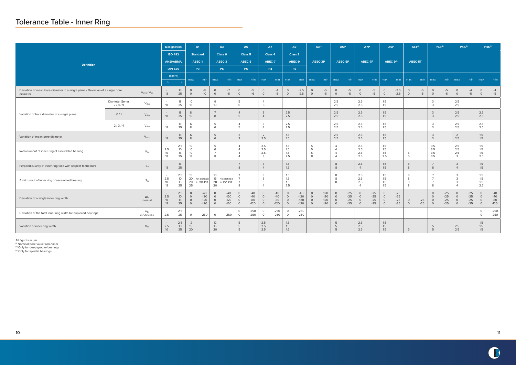|                                                                                            |                                 |                                          |                                        | <b>Designation</b>                 |                                                | A1                                  |                                          | A3                                  |                                                                      | <b>A5</b>                         |                                                                      | <b>A7</b>                         |                                          | A <sub>9</sub>                      |                                          | A3P                                  | A5P                                                            |                                  | A7P                                      |                                  | A9P                                      |                                  | $A5T^{(1)}$        |                | $P5A^{(2)}$                              |                                  |                                                                  | $P4A^{(2)}$                      |                                          | $P4S^{(3)}$                       |
|--------------------------------------------------------------------------------------------|---------------------------------|------------------------------------------|----------------------------------------|------------------------------------|------------------------------------------------|-------------------------------------|------------------------------------------|-------------------------------------|----------------------------------------------------------------------|-----------------------------------|----------------------------------------------------------------------|-----------------------------------|------------------------------------------|-------------------------------------|------------------------------------------|--------------------------------------|----------------------------------------------------------------|----------------------------------|------------------------------------------|----------------------------------|------------------------------------------|----------------------------------|--------------------|----------------|------------------------------------------|----------------------------------|------------------------------------------------------------------|----------------------------------|------------------------------------------|-----------------------------------|
|                                                                                            |                                 |                                          |                                        | <b>ISO 492</b>                     |                                                | <b>Standard</b>                     |                                          | Class 6                             |                                                                      | Class <sub>5</sub>                |                                                                      | Class 4                           |                                          | Class 2                             |                                          |                                      |                                                                |                                  |                                          |                                  |                                          |                                  |                    |                |                                          |                                  |                                                                  |                                  |                                          |                                   |
| <b>Definition</b>                                                                          |                                 |                                          |                                        | <b>ANSI/ABMA</b>                   |                                                | ABEC-1                              |                                          | ABEC-3                              | ABEC-5                                                               |                                   |                                                                      | ABEC-7                            |                                          | ABEC-9                              |                                          | ABEC-3P                              | ABEC-5P                                                        |                                  | ABEC-7P                                  |                                  | ABEC-9P                                  |                                  | ABEC-5T            |                |                                          |                                  |                                                                  |                                  |                                          |                                   |
|                                                                                            |                                 |                                          |                                        | <b>DIN 620</b>                     |                                                | PO.                                 |                                          | <b>P6</b>                           |                                                                      | <b>P5</b>                         |                                                                      | <b>P4</b>                         |                                          | <b>P2</b>                           |                                          |                                      |                                                                |                                  |                                          |                                  |                                          |                                  |                    |                |                                          |                                  |                                                                  |                                  |                                          |                                   |
|                                                                                            |                                 |                                          | $\rightarrow$                          | d $[mm]$                           | max                                            | min                                 | max                                      | min                                 | max                                                                  | min                               | max                                                                  | min                               | max                                      | min                                 | max                                      | min                                  | max                                                            | min                              | max                                      | min                              | max                                      | min                              | max                | min            | max                                      | min                              | max                                                              | min                              | max                                      | min                               |
| Deviation of mean bore diameter in a single plane / Deviation of a single bore<br>diameter |                                 | $\Delta_{\text{dmp}}/\Delta_{\text{ds}}$ | $\sim$<br>18                           | $\leq$<br>18<br>25                 | $\circ$<br>$\circ$                             | $-8$<br>$-10$                       | $\circ$<br>$\circ$                       | $-7$<br>$-8$                        | $\circ$<br>$\circ$                                                   | $-5$<br>$-6$                      | $\circ$<br>$\circ$                                                   | $-4$<br>$-5$                      | $\circ$<br>$\circ$                       | $-2.5$<br>$-2.5$                    | $\circ$<br>$\circ$                       | $-5$<br>$-5$                         | $\circ$<br>$\circ$                                             | $-5$<br>$-5$                     | $\circ$<br>$\circ$                       | $-5$<br>$-5$                     | $\circ$<br>$\circ$                       | $-2.5$<br>$-2.5$                 | $\circ$<br>$\circ$ | $-5$<br>$-5$   | $\circ$<br>$\circ$                       | $-5$<br>$-6$                     | $\circ$<br>$\circ$                                               | $-4$<br>$-5$                     | $\circ$<br>$\circ$                       | $-4$<br>$-5$                      |
|                                                                                            | <b>Diameter Series</b><br>7/8/9 | $V_{\rm{dsp}}$                           | 18                                     | 18<br>25                           | 10 <sup>°</sup><br>13                          |                                     | 9<br>10 <sup>°</sup>                     |                                     | 5<br>6                                                               |                                   | $\overline{4}$<br>5                                                  |                                   |                                          |                                     |                                          |                                      | 2.5<br>2.5                                                     |                                  | 2.5<br>2.5                               |                                  | 1.5<br>1.5                               |                                  |                    |                | $\overline{3}$<br>$\overline{3}$         |                                  | 2.5<br>2.5                                                       |                                  |                                          |                                   |
| Variation of bore diameter in a single plane                                               | 0/1                             | $\mathsf{V}_{\mathsf{dsp}}$              | 18                                     | 18<br>25                           | 8<br>10 <sup>°</sup>                           |                                     | $\overline{7}$<br>8                      |                                     | $\overline{4}$<br>5                                                  |                                   | $\overline{3}$<br>$\overline{4}$                                     |                                   | 2.5<br>2.5                               |                                     |                                          |                                      | 2.5<br>2.5                                                     |                                  | 2.5<br>2.5                               |                                  | 1.5<br>1.5                               |                                  |                    |                | $\overline{\mathbf{3}}$<br>$\mathbf{3}$  |                                  | 2.5<br>2.5                                                       |                                  | 2.5<br>2.5                               |                                   |
|                                                                                            | 2/3/4                           | $V_{\sf dsp}$                            | 18                                     | 18<br>25                           | 6<br>8                                         |                                     | 5<br>6                                   |                                     | $\overline{4}$<br>5                                                  |                                   | $\mathbf{3}$<br>$\overline{4}$                                       |                                   | 2.5<br>2.5                               |                                     |                                          |                                      | 2.5<br>2.5                                                     |                                  | 2.5<br>2.5                               |                                  | 1.5<br>1.5                               |                                  |                    |                | $\overline{3}$<br>$\mathbf{3}$           |                                  | 2.5<br>2.5                                                       |                                  | 2.5<br>2.5                               |                                   |
| Variation of mean bore diameter                                                            |                                 | $V_{\text{dmp}}$                         | 18                                     | 18<br>25                           | 6<br>8                                         |                                     | 5<br>6                                   |                                     | $\mathbf{3}$<br>$\mathbf{3}$                                         |                                   | $\overline{2}$<br>2.5                                                |                                   | 1.5<br>1.5                               |                                     |                                          |                                      | 2.5<br>2.5                                                     |                                  | 2.5<br>2.5                               |                                  | 1.5<br>1.5                               |                                  |                    |                | $\overline{3}$<br>$\mathbf{3}$           |                                  | $\overline{2}$<br>2.5                                            |                                  | 1.5<br>1.5                               |                                   |
| Radial runout of inner ring of assembled bearing                                           |                                 | $K_{ia}$                                 | 2.5<br>10<br>18                        | 2.5<br>10 <sup>°</sup><br>18<br>25 | 10 <sup>°</sup><br>10<br>10 <sup>°</sup><br>13 |                                     | - 5<br>6<br>$\overline{7}$<br>8          |                                     | $\overline{4}$<br>$\overline{4}$<br>$\overline{4}$<br>$\overline{4}$ |                                   | 2.5<br>2.5<br>2.5<br>$\mathbf{3}$                                    |                                   | 1.5<br>1.5<br>1.5<br>2.5                 |                                     | 5<br>5<br>5<br>8                         |                                      | $\overline{4}$<br>$\Delta$<br>$\overline{4}$<br>$\overline{4}$ |                                  | 2.5<br>2.5<br>2.5<br>2.5                 |                                  | 1.5<br>1.5<br>1.5<br>2.5                 |                                  | 5<br>-5            |                | 3.5<br>3.5<br>3.5<br>3.5                 |                                  | 2.5<br>2.5<br>2.5<br>$\mathbf{3}$                                |                                  | 1.5<br>1.5<br>1.5<br>2.5                 |                                   |
| Perpendicularity of inner ring face with respect to the bore                               |                                 | $S_d$                                    | 18                                     | 18<br>25                           |                                                |                                     |                                          |                                     | $\overline{7}$<br>8                                                  |                                   | $\overline{3}$<br>$\overline{4}$                                     |                                   | 1.5<br>1.5                               |                                     |                                          |                                      | 8<br>8                                                         |                                  | 2.5<br>$\overline{4}$                    |                                  | 1.5<br>1.5                               |                                  | 8<br>8             |                | 8                                        |                                  | $\mathbf{3}$<br>$\overline{4}$                                   |                                  | 1.5<br>1.5                               |                                   |
| Axial runout of inner ring of assembled bearing                                            |                                 | $S_{ia}$                                 | 2.5<br>10 <sup>°</sup><br>18           | 2.5<br>10 <sup>°</sup><br>18<br>25 | 15<br>25                                       | 20 not defined<br>20 in ISO 492     | 10<br>20                                 | 15 not defined<br>20 in ISO 492     | $\overline{7}$<br>- 7<br>8                                           |                                   | $\overline{3}$<br>$\overline{3}$<br>$\overline{3}$<br>$\overline{4}$ |                                   | 1.5<br>1.5<br>1.5<br>2.5                 |                                     |                                          |                                      | 8<br>8<br>8                                                    |                                  | 2.5<br>2.5<br>2.5<br>$\Delta$            |                                  | 1.5<br>1.5<br>1.5<br>1.5                 |                                  | 8<br>8<br>8<br>8   |                | $\overline{7}$<br>$\overline{7}$<br>8    |                                  | $\overline{3}$<br>$\mathbf{3}$<br>$\mathbf{3}$<br>$\overline{4}$ |                                  | 1.5<br>1.5<br>1.5<br>2.5                 |                                   |
| Deviation of a single inner ring width                                                     |                                 | $\Delta_{\mathsf{Bs}}$<br>normal         | $\sim$<br>2.5<br>10 <sup>°</sup><br>18 | 2.5<br>10 <sup>°</sup><br>18<br>25 | $\circ$<br>$\circ$<br>$\circ$<br>$\circ$       | $-40$<br>$-120$<br>$-120$<br>$-120$ | $\circ$<br>$\circ$<br>$\circ$<br>$\circ$ | $-40$<br>$-120$<br>$-120$<br>$-120$ | $\circ$<br>$\circ$<br>$\circ$<br>$\circ$                             | $-40$<br>$-40$<br>$-80$<br>$-120$ | $\circ$<br>$\overline{0}$<br>$\circ$<br>$\circ$                      | $-40$<br>$-40$<br>$-80$<br>$-120$ | $\circ$<br>$\circ$<br>$\circ$<br>$\circ$ | $-40$<br>$-120$<br>$-120$<br>$-120$ | $\circ$<br>$\circ$<br>$\circ$<br>$\circ$ | $-120$<br>$-120$<br>$-120$<br>$-120$ | $\circ$<br>$\circ$<br>$\circ$<br>$\circ$                       | $-25$<br>$-25$<br>$-25$<br>$-25$ | $\circ$<br>$\circ$<br>$\circ$<br>$\circ$ | $-25$<br>$-25$<br>$-25$<br>$-25$ | $\circ$<br>$\circ$<br>$\circ$<br>$\circ$ | $-25$<br>$-25$<br>$-25$<br>$-25$ | $\circ$<br>$\circ$ | $-25$<br>$-25$ | $\circ$<br>$\circ$<br>$\circ$<br>$\circ$ | $-25$<br>$-25$<br>$-25$<br>$-25$ | $\circ$<br>$\circ$<br>$\circ$<br>$\circ$                         | $-25$<br>$-25$<br>$-25$<br>$-25$ | $\circ$<br>$\circ$<br>$\circ$<br>$\circ$ | $-40$<br>$-40$<br>$-80$<br>$-120$ |
| Deviation of the total inner ring width for duplexed bearings                              |                                 | $\Delta_{\mathsf{Bs}}$<br>modified a     | 2.5                                    | 2.5<br>25                          | $\circ$                                        | $-250$                              | $\overline{0}$                           | $-250$                              | $\circ$<br>$\circ$                                                   | $-250$<br>$-250$                  | $\circ$<br>$\circ$                                                   | $-250$<br>$-250$                  | $\circ$<br>$\circ$                       | $-250$<br>$-250$                    |                                          |                                      |                                                                |                                  |                                          |                                  |                                          |                                  |                    |                |                                          |                                  |                                                                  |                                  | $\circ$                                  | $-250$<br>$-250$                  |
| Variation of inner ring width                                                              |                                 | $V_{Bs}$                                 | 2.5<br>10                              | 2.5<br>10 <sup>°</sup><br>25       | 12<br>15<br>20                                 |                                     | 12<br>15<br>20                           |                                     | 5<br>5<br>5                                                          |                                   | 2.5<br>2.5<br>2.5                                                    |                                   | 1.5<br>1.5<br>1.5                        |                                     |                                          |                                      | 5<br>5<br>5                                                    |                                  | 2.5<br>2.5<br>2.5                        |                                  | 1.5<br>1.5<br>1.5                        |                                  | 5                  |                | 5<br>5                                   |                                  | 2.5<br>2.5                                                       |                                  | 1.5<br>1.5<br>1.5                        |                                   |

All figures in µm.

(1) Nominal bore value from 9mm

(2) Only for deep groove bearings

(3) Only for spindle bearings

# **Tolerance Table - Inner Ring**

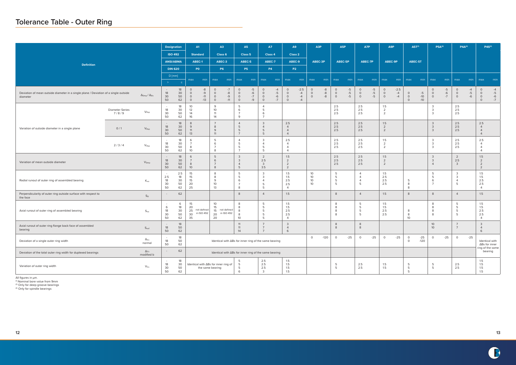# **Tolerance Table - Outer Ring**



|                                                                                                  |                                 |                                          | <b>Designation</b>           |                             | A1                                                                                | A3                                       |                               | A5                                                                       | A7                                                                    |                              | A <sub>9</sub>                                            |                                | A3P                           |                      | A5P                           |                      | A7P                                               |                      |                                         | A9P                    |                               | $A5T^{(1)}$            | $P5A^{(2)}$                                      |                      |                                                       | $P4A^{(2)}$          |                                                           | $P4S^{(3)}$                             |
|--------------------------------------------------------------------------------------------------|---------------------------------|------------------------------------------|------------------------------|-----------------------------|-----------------------------------------------------------------------------------|------------------------------------------|-------------------------------|--------------------------------------------------------------------------|-----------------------------------------------------------------------|------------------------------|-----------------------------------------------------------|--------------------------------|-------------------------------|----------------------|-------------------------------|----------------------|---------------------------------------------------|----------------------|-----------------------------------------|------------------------|-------------------------------|------------------------|--------------------------------------------------|----------------------|-------------------------------------------------------|----------------------|-----------------------------------------------------------|-----------------------------------------|
|                                                                                                  |                                 |                                          | <b>ISO 492</b>               |                             | <b>Standard</b>                                                                   | Class 6                                  |                               | Class <sub>5</sub>                                                       | Class 4                                                               |                              |                                                           | Class 2                        |                               |                      |                               |                      |                                                   |                      |                                         |                        |                               |                        |                                                  |                      |                                                       |                      |                                                           |                                         |
| <b>Definition</b>                                                                                |                                 |                                          | <b>ANSI/ABMA</b>             |                             | ABEC-1                                                                            | ABEC-3                                   |                               | ABEC-5                                                                   | ABEC-7                                                                |                              | ABEC-9                                                    |                                | ABEC-3P                       |                      | ABEC-5P                       |                      | ABEC-7P                                           |                      |                                         | ABEC-9P                |                               | ABEC-5T                |                                                  |                      |                                                       |                      |                                                           |                                         |
|                                                                                                  |                                 |                                          | <b>DIN 620</b>               |                             | P <sub>0</sub>                                                                    | <b>P6</b>                                |                               | <b>P5</b>                                                                | <b>P4</b>                                                             |                              | <b>P2</b>                                                 |                                |                               |                      |                               |                      |                                                   |                      |                                         |                        |                               |                        |                                                  |                      |                                                       |                      |                                                           |                                         |
|                                                                                                  |                                 |                                          | $D$ [mm]<br>$\geq$           | $\leq$                      | min<br>max                                                                        | max                                      | min                           | max<br>min                                                               | max                                                                   | min                          | max                                                       | min                            | max                           | min                  | max                           | min                  | max                                               | min                  | max                                     | min                    | max                           | min                    | max                                              | min                  | max                                                   | min                  | max                                                       | min                                     |
| Deviation of mean outside diameter in a single plane / Deviation of a single outside<br>diameter |                                 | $\Delta_{\text{Dmp}}/\Delta_{\text{Ds}}$ | $\sim$<br>18<br>30<br>50     | 18<br>30<br>50<br>62        | $\mbox{-}8$<br>$\circ$<br>$\circ$<br>$-9$<br>$\circ$<br>$-11$<br>$-13$<br>$\circ$ | $\circ$<br>$\circ$<br>$\circ$<br>$\circ$ | $-7$<br>$-8$<br>$-9$<br>$-11$ | $\circ$<br>$-5$<br>$-6$<br>$\circ$<br>$-7$<br>$\circ$<br>$\circ$<br>$-9$ | $\circ$<br>$\circ$<br>$\circ$<br>$\circ$                              | $-4$<br>$-5$<br>$-6$<br>$-7$ | $\circ$<br>$\circ$<br>$\circ$<br>$\circ$                  | $-2.5$<br>$-4$<br>$-4$<br>$-4$ | $\circ$<br>$\circ$<br>$\circ$ | $-8$<br>$-8$<br>$-8$ | $\circ$<br>$\circ$<br>$\circ$ | $-5$<br>$-5$<br>$-5$ | $\circ$<br>$\circ$<br>$\circ$                     | $-5$<br>$-5$<br>$-5$ | $\circ$<br>$\circ$<br>$\circ$           | $-2.5$<br>$-4$<br>$-4$ | $\circ$<br>$\circ$<br>$\circ$ | $-5$<br>$-10$<br>$-10$ | $\circ$<br>$\circ$<br>$\circ$                    | $-5$<br>$-6$<br>$-7$ | $\circ$<br>$\circ$<br>$\circ$                         | $-4$<br>$-5$<br>$-6$ | $\circ$<br>$\circ$<br>$\circ$<br>$\circ$                  | $-4$<br>$-5$<br>$-6$<br>$-7$            |
|                                                                                                  | <b>Diameter Series</b><br>7/8/9 | $V_{\mathsf{Dsp}}$                       | 18<br>30<br>50               | 18<br>30<br>50<br>62        | 10 <sup>°</sup><br>12<br>14<br>16                                                 | 9<br>10 <sup>°</sup><br>11<br>14         |                               | 5<br>6<br>$\overline{7}$<br>9                                            | $\overline{4}$<br>5<br>6<br>$\overline{7}$                            |                              |                                                           |                                |                               |                      | 2.5<br>2.5<br>2.5             |                      | 2.5<br>2.5<br>2.5                                 |                      | 1.5<br>$\overline{2}$<br>$\overline{2}$ |                        |                               |                        | $\overline{3}$<br>$\mathbf{3}$<br>$\overline{3}$ |                      | 2.5<br>2.5<br>2.5                                     |                      |                                                           |                                         |
| Variation of outside diameter in a single plane                                                  | 0/1                             | $V_{\text{Dsp}}$                         | 18<br>30<br>50               | 18<br>30<br>50<br>62        | 8<br>9<br>11<br>13                                                                | $\overline{7}$<br>8<br>9<br>11           |                               | $\overline{4}$<br>5<br>5<br>$\overline{7}$                               | $\overline{3}$<br>$\overline{4}$<br>5<br>5                            |                              | 2.5<br>$\overline{4}$<br>$\overline{4}$<br>$\overline{4}$ |                                |                               |                      | 2.5<br>2.5<br>2.5             |                      | 2.5<br>2.5<br>2.5                                 |                      | 1.5<br>$\overline{2}$<br>$\overline{2}$ |                        |                               |                        | $\mathbf{3}$<br>$\mathbf{3}$<br>$\mathbf{3}$     |                      | 2.5<br>2.5<br>2.5                                     |                      | 2.5<br>$\overline{4}$<br>$\overline{4}$<br>$\overline{4}$ |                                         |
|                                                                                                  | 2/3/4                           | $V_{\mathsf{Dsp}}$                       | $\sim$ $-$<br>18<br>30<br>50 | 18<br>30<br>50<br>62        | 6<br>8<br>10 <sup>°</sup>                                                         | 5<br>6<br>$\overline{7}$<br>8            |                               | $\overline{4}$<br>-5<br>5<br>$\overline{7}$                              | $\overline{3}$<br>$\overline{4}$<br>5<br>5                            |                              | 2.5<br>$\overline{4}$<br>$\overline{4}$<br>$\overline{4}$ |                                |                               |                      | 2.5<br>2.5<br>2.5             |                      | 2.5<br>2.5<br>2.5                                 |                      | 1.5<br>$\overline{2}$<br>$\overline{2}$ |                        |                               |                        | $\mathbf{3}$<br>$\overline{3}$<br>$\mathbf{3}$   |                      | 2.5<br>2.5<br>2.5                                     |                      | 2.5<br>$\overline{4}$<br>$\overline{4}$<br>$\overline{4}$ |                                         |
| Variation of mean outside diameter                                                               |                                 | $V_{Dmp}$                                | 18<br>30<br>50               | 18<br>30<br>50<br>62        | 6<br>$\overline{7}$<br>8<br>10 <sup>°</sup>                                       | 5<br>6<br>$\overline{ }$<br>8            |                               | $\mathbf{3}$<br>$\overline{3}$<br>$\overline{4}$<br>5                    | $\overline{2}$<br>2.5<br>$\overline{\mathbf{3}}$<br>3.5               |                              | 1.5<br>$\overline{2}$<br>$\overline{2}$<br>$\overline{2}$ |                                |                               |                      | 2.5<br>2.5<br>2.5             |                      | 2.5<br>2.5<br>2.5                                 |                      | 1.5<br>$\overline{2}$<br>$\overline{2}$ |                        |                               |                        | 3<br>$\mathbf{3}$<br>$\overline{4}$              |                      | $\overline{2}$<br>$2.5\,$<br>$\mathbf{3}$             |                      | 1.5<br>$\overline{2}$<br>$\overline{2}$<br>$\overline{2}$ |                                         |
| Radial runout of outer ring of assembled bearing                                                 |                                 | $K_{ea}$                                 | 2.5<br>18<br>30<br>50        | 2.5<br>18<br>30<br>50<br>62 | 15<br>15<br>15<br>20<br>25                                                        | 8<br>8<br>9<br>10 <sup>°</sup><br>13     |                               | 5<br>5<br>6<br>$\overline{7}$<br>8                                       | $\overline{3}$<br>$\overline{\mathbf{3}}$<br>$\overline{4}$<br>5<br>5 |                              | 1.5<br>1.5<br>2.5<br>2.5<br>$\overline{4}$                |                                | 10<br>10<br>10<br>10          |                      | 5<br>5<br>5<br>5              |                      | $\overline{4}$<br>$\Delta$<br>$\overline{4}$<br>5 |                      | 1.5<br>2.5<br>2.5<br>2.5                |                        | 5<br>8<br>8                   |                        | -5<br>- 5<br>6<br>$\overline{7}$                 |                      | $\mathbf{3}$<br>$\overline{3}$<br>$\overline{4}$<br>5 |                      | 1.5<br>1.5<br>2.5<br>2.5<br>$\overline{4}$                |                                         |
| Perpendicularity of outer ring outside surface with respect to<br>the face                       |                                 | $S_D$                                    |                              | 62                          |                                                                                   |                                          |                               | 8                                                                        | $\overline{4}$                                                        |                              | 1.5                                                       |                                |                               |                      | 8                             |                      | $\overline{4}$                                    |                      | 1.5                                     |                        | 8                             |                        | 8                                                |                      | $\overline{4}$                                        |                      | 1.5                                                       |                                         |
| Axial runout of outer ring of assembled bearing                                                  |                                 | $S_{ea}$                                 | 6<br>18<br>30<br>50          | 6<br>18<br>30<br>50<br>62   | 15<br>20<br>25 not defined<br>in ISO 492<br>30<br>35                              | 10 <sup>°</sup><br>15<br>15<br>20<br>20  | not defined<br>in ISO 492     | 8<br>8<br>8<br>8<br>10 <sup>1</sup>                                      | 5<br>5<br>5<br>5<br>5                                                 |                              | 1.5<br>1.5<br>2.5<br>2.5<br>$\overline{4}$                |                                |                               |                      | 8<br>8<br>8<br>8              |                      | 5<br>5<br>5<br>5                                  |                      | 1.5<br>1.5<br>2.5<br>2.5                |                        | 8<br>8<br>10                  |                        | 8<br>8<br>8<br>8                                 |                      | 5<br>5<br>5<br>5                                      |                      | 1.5<br>1.5<br>2.5<br>2.5<br>$\overline{4}$                |                                         |
| Axial runout of outer ring flange back face of assembled<br>bearing                              |                                 | S <sub>ea1</sub>                         | 18<br>50                     | 18<br>50<br>62              |                                                                                   |                                          |                               | 11<br>11<br>14                                                           | $\overline{7}$<br>$\overline{7}$<br>7                                 |                              | 3<br>$\overline{4}$<br>6                                  |                                |                               |                      | 8<br>8                        |                      | $\,8\,$<br>8                                      |                      |                                         |                        |                               |                        | 10 <sup>°</sup><br>10 <sup>°</sup>               |                      | $\overline{7}$<br>$7\overline{ }$                     |                      | $\overline{3}$<br>$\overline{4}$<br>6                     |                                         |
| Deviation of a single outer ring width                                                           |                                 | $\Delta_{\text{Cs}}$<br>normal           | 18<br>50                     | 18<br>50<br>62              |                                                                                   |                                          |                               | Identical with ABs for inner ring of the same bearing                    |                                                                       |                              |                                                           |                                | $\circ$                       | $-120$               | $\Omega$                      | $-25$                | $\circ$                                           | $-25$                | $\circ$                                 | $-25$                  | $\circ$<br>$\circ$            | $-25$<br>$-120$        | $\circ$                                          | $-25$                | $\circ$                                               | $-25$                |                                                           | Identical with<br>$\Delta$ Bs for inner |
| Deviation of the total outer ring width for duplexed bearings                                    |                                 | $\Delta_{\text{Cs}}$<br>modified b       |                              | 62                          |                                                                                   |                                          |                               | Identical with ΔBs for inner ring of the same bearing                    |                                                                       |                              |                                                           |                                |                               |                      |                               |                      |                                                   |                      |                                         |                        |                               |                        |                                                  |                      |                                                       |                      |                                                           | ring of the same<br>bearing             |
| Variation of outer ring width                                                                    |                                 | $V_{Cs}$                                 | 18<br>30<br>50               | 18<br>30<br>50<br>62        | Identical with $\Delta$ Bs for inner ring of                                      | the same bearing                         |                               | 5<br>5<br>5<br>6                                                         | 2.5<br>2.5<br>2.5<br>$\overline{\mathbf{3}}$                          |                              | 1.5<br>1.5<br>1.5<br>1.5                                  |                                |                               |                      | 5<br>5                        |                      | 2.5<br>2.5                                        |                      | 1.5<br>1.5                              |                        | 5<br>5<br>5                   |                        | 5<br>5                                           |                      | 2.5<br>2.5                                            |                      | 1.5<br>1.5<br>1.5<br>1.5                                  |                                         |

All figures in µm.

(1) Nominal bore value from 9mm

(2) Only for deep groove bearings

(3) Only for spindle bearings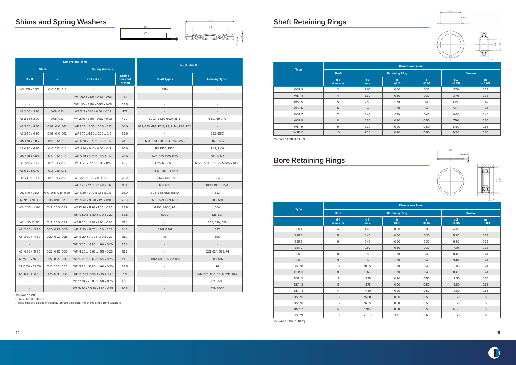# **Bore Retaining Rings**

# **Shims and Spring Washers Shaft Retaining Rings**





|                  |                     | <b>Dimensions</b> [mm]         |                                            |                                          |                                   |
|------------------|---------------------|--------------------------------|--------------------------------------------|------------------------------------------|-----------------------------------|
|                  | <b>Shims</b>        | <b>Spring Washers</b>          |                                            | <b>Applicable For</b>                    |                                   |
| $d \times D$     | S                   | dxDxHxs                        | <b>Spring</b><br><b>Constant</b><br>[N/mm] | <b>Shaft Types</b>                       | <b>Housing Types</b>              |
| AS 1.55 x 2.50   | 0.10 0.12 0.15      |                                | $\sim$                                     | 681X                                     |                                   |
|                  |                     | WF 1.60 x 2.90 x 0.40 x 0.06   | 71.4                                       |                                          |                                   |
|                  |                     | WF 1.90 x 2.80 x 0.50 x 0.08   | 62.5                                       |                                          |                                   |
| AS 2.05 x 3.20   | $0.08$ 0.10         | WF 2.15 x 3.10 x 0.50 x 0.08   | 47.1                                       |                                          |                                   |
| AS 2.55 x 3.90   | $0.08$ 0.10         | WF 2.70 x 3.80 x 0.50 x 0.08   | 42.7                                       | 602X, 682X, 692X, R1-5                   | 681X, 691, RO                     |
| AS 3.20 x 4.40   | 0.08 0.10 0.12      | WF 3.20 x 4.30 x 0.50 x 0.10   | 50.0                                       | 623, 683, 693, R2-5, R2, R144, R2-6, R2A | $\sim$                            |
| AS 3.80 x 4.90   | 0.08 0.10 0.12      | WF 3.70 x 4.80 x 0.55 x 0.10   | 28.6                                       |                                          | 682, 691X                         |
| AS 4.10 x 5.85   | 0.10 0.12 0.15      | WF 4.20 x 5.75 x 0.65 x 0.12   | 41.5                                       | 604, 624, 634, 684, 694, R155            | 682X, 692                         |
| AS 4.90 x 6.20   | 0.10 0.12 0.15      | WF 4.80 x 6.10 x 0.60 x 0.12   | 30.6                                       | R3, R156, R166                           | R1-4, R144                        |
| AS 5.10 x 6.85   | 0.10 0.12 0.15      | WF 5.20 x 6.75 x 0.65 x 0.12   | 28.6                                       | 625, 635, 685, 695                       | 683, 692X                         |
| AS 6.10 x 7.85   | 0.12 0.15 0.18      | WF 6.20 x 7.75 x 0.70 x 0.15   | 48.7                                       | 626, 686, 696                            | 602X, 693, R1-5, R2-5, R155, R156 |
| AS 6.50 x 9.40   | 0.12 0.15 0.18      |                                | $\overline{\phantom{a}}$                   | R168, R188, R4, R4A                      |                                   |
| AS 7.10 x 8.80   | 0.12 0.15 0.18      | WF 7.20 x 8.70 x 0.90 x 0.15   | 26.2                                       | 607, 627, 687, 697                       | 684                               |
|                  |                     | WF 7.20 x 12.00 x 1.40 x 0.12  | 16.4                                       | 607, 627                                 | R188, R1810, R2A                  |
| AS 8.10 x 9.80   | 0.10 0.15 0.18 0.20 | WF 8.20 x 9.70 x 0.85 x 0.18   | 38.0                                       | 608, 688, 698, R1810                     | 623                               |
| AS 9.10 x 10.80  | 0.15 0.18 0.20      | WF 9.20 x 10.70 x 1.15 x 0.18  | 23.3                                       | 609, 629, 689, 699                       | 685, 694                          |
| AS 10.20 x 11.80 | 0.18 0.20 0.22      | WF 10.20 x 11.70 x 1.05 x 0.20 | 23.9                                       | 6800, 6900, R6                           | 604                               |
|                  | $\sim$              | WF 10.50 x 15.80 x 1.70 x 0.20 | 53.8                                       | 6000                                     | 625, 634                          |
| AS 11.20. 12.80  | 0.18 0.20 0.22      | WF 11.20 x 12.70 x 1.30 x 0.20 | 19.4                                       | $\sim$                                   | 624, 686, 695                     |
| AS 12.30 x 13.80 | 0.20 0.22 0.25      | WF 12.20 x 13.70 x 1.30 x 0.22 | 24.3                                       | 6801, 6901                               | 687                               |
| AS 13.30 x 14.80 | 0.20 0.22 0.25      | WF 13.20 x 14.70 x 1.30 x 0.22 | 15.0                                       | R8                                       | 696                               |
|                  | $\sim$              | WF 13.20 x 18.80 x 1.60 x 0.20 | 32.3                                       | $\overline{\phantom{a}}$                 |                                   |
| AS 14.35 x 15.80 | 0.22 0.25 0.30      | WF 14.20 x 15.65 x 1.55 x 0.25 | 16.2                                       | $\overline{\phantom{a}}$                 | 625, 634, 688, R4                 |
| AS 15.35 x 16.80 | 0.22 0.25 0.30      | WF 15.20 x 16.65 x 1.55 x 0.25 | 13.8                                       | 6002, 6802, 6902, R10                    | 689, 697                          |
| AS 16.00 x 22.00 | 0.10 0.22 0.25      | WF 15.80 x 21.80 x 1.60 x 0.20 | 28.5                                       |                                          | R <sub>6</sub>                    |
| AS 16.40 x 18.80 | 0.25 0.30 0.35      | WF 16.20 x 18.55 x 2.15 x 0.30 | 27.1                                       |                                          | 607, 626, 635, 6800, 698, R4A     |
|                  |                     | WF 17.30 x 23.80 x 1.50 x 0.25 | 400                                        | $\overline{\phantom{a}}$                 | 628, 609                          |
|                  |                     | WF 19.30 x 25.80 x 1.90 x 0.35 | 70.8                                       |                                          | 629, 6000                         |

|                  |                            |                        | <b>Dimensions in mm</b> |                       |                           |              |
|------------------|----------------------------|------------------------|-------------------------|-----------------------|---------------------------|--------------|
| <b>Type</b>      | <b>Shaft</b>               |                        | <b>Retaining Ring</b>   |                       |                           | Groove       |
|                  | d <sub>1</sub><br>diameter | d <sub>3</sub><br>max. | $\mathbf b$<br>±0.10    | $\mathbf{s}$<br>±0.02 | d <sub>2</sub><br>$-0.05$ | m<br>$+0.03$ |
| WSR <sub>3</sub> | 3                          | 2.60                   | 0.50                    | 0.30                  | 2.70                      | 0.33         |
| WSR 4            | $\overline{4}$             | 3.60                   | 0.50                    | 0.30                  | 3.70                      | 0.33         |
| WSR 5            | 5                          | 4.50                   | 0.70                    | 0.40                  | 4.60                      | 0.44         |
| WSR 6            | 6                          | 5.45                   | 0.70                    | 0.40                  | 5.60                      | 0.44         |
| WSR <sub>7</sub> | $\overline{7}$             | 6.45                   | 0.70                    | 0.40                  | 6.60                      | 0.44         |
| WSR 8            | 8                          | 7.35                   | 0.90                    | 0.50                  | 7.50                      | 0.55         |
| WSR 9            | 9                          | 8.30                   | 0.90                    | 0.50                  | 8.50                      | 0.55         |
| <b>WSR 10</b>    | 10                         | 9.25                   | 0.90                    | 0.50                  | 9.50                      | 0.55         |

|                  |                            |                        |                       | <b>Dimensions in mm</b> |                           |               |
|------------------|----------------------------|------------------------|-----------------------|-------------------------|---------------------------|---------------|
| <b>Type</b>      | <b>Bore</b>                |                        | <b>Retaining Ring</b> |                         |                           | <b>Groove</b> |
|                  | d <sub>1</sub><br>diameter | d <sub>3</sub><br>max. | $\mathbf b$<br>±0.10  | S<br>±0.02              | d <sub>2</sub><br>$-0.05$ | m<br>$+0.03$  |
| BSR 4            | 4                          | 4.40                   | 0.50                  | 0.30                    | 4.30                      | 0.33          |
| BSR <sub>5</sub> | 5                          | 5.45                   | 0.50                  | 0.30                    | 5.30                      | 0.33          |
| BSR 6            | 6                          | 6.45                   | 0.50                  | 0.30                    | 6.30                      | 0.33          |
| BSR <sub>7</sub> | $\overline{7}$             | 7.50                   | 0.50                  | 0.30                    | 7.30                      | 0.33          |
| BSR 8            | 8                          | 8.60                   | 0.70                  | 0.40                    | 8.40                      | 0.44          |
| BSR 9            | 9                          | 9.60                   | 0.70                  | 0.40                    | 9.40                      | 0.44          |
| <b>BSR 10</b>    | 10                         | 10.65                  | 0.70                  | 0.40                    | 10.40                     | 0.44          |
| <b>BSR 11</b>    | 11                         | 11.65                  | 0.70                  | 0.40                    | 11.40                     | 0.44          |
| <b>BSR 12</b>    | 12                         | 12.75                  | 0.90                  | 0.50                    | 12.50                     | 0.55          |
| <b>BSR 13</b>    | 13                         | 13.75                  | 0.90                  | 0.50                    | 13.50                     | 0.55          |
| <b>BSR 14</b>    | 14                         | 14.80                  | 0.90                  | 0.50                    | 14.50                     | 0.55          |
| <b>BSR 15</b>    | 15                         | 15.80                  | 0.90                  | 0.50                    | 15.50                     | 0.55          |
| <b>BSR 16</b>    | 16                         | 16.85                  | 0.90                  | 0.50                    | 16.50                     | 0.55          |
| <b>BSR 17</b>    | 17                         | 17.85                  | 0.90                  | 0.50                    | 17.50                     | 0.55          |
| <b>BSR 19</b>    | 19                         | 20.00                  | 1.10                  | 0.60                    | 19.60                     | 0.66          |



Material 1.4310 Subject to alterations.

Please enquire about availability before selecting the shims and spring washers.









Material 1.4310 (AISI301).

Material 1.4310 (AISI301).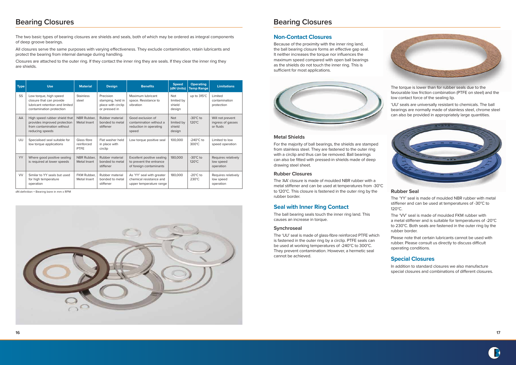

| <b>Type</b> | <b>Use</b>                                                                                                        | <b>Material</b>                          | <b>Design</b>                                                         | <b>Benefits</b>                                                                  | <b>Speed</b><br>(dN Units)                   | <b>Operating</b><br><b>Temp Range</b>  | <b>Limitations</b>                                 |
|-------------|-------------------------------------------------------------------------------------------------------------------|------------------------------------------|-----------------------------------------------------------------------|----------------------------------------------------------------------------------|----------------------------------------------|----------------------------------------|----------------------------------------------------|
| SS          | Low torque, high speed<br>closure that can provide<br>lubricant retention and limited<br>contamination protection | <b>Stainless</b><br>steel                | Precision<br>stamping, held in<br>place with circlip<br>or pressed in | Maximum lubricant<br>space. Resistance to<br>vibration                           | <b>Not</b><br>limited by<br>shield<br>design | up to $315^{\circ}$ C                  | Limited<br>contamination<br>protection             |
| AA          | High speed rubber shield that<br>provides improved protection<br>from contamination without<br>reducing speeds    | NBR Rubber.<br>Metal Insert              | Rubber material<br>bonded to metal<br>stiffener                       | Good exclusion of<br>contamination without a<br>reduction in operating<br>speed  | <b>Not</b><br>limited by<br>shield<br>design | $-30^{\circ}$ C to<br>$120^{\circ}$ C  | Will not prevent<br>ingress of gasses<br>or fluids |
| UU          | Specialised seal suitable for<br>low torque applications                                                          | Glass fibre<br>reinforced<br><b>PTFE</b> | Flat washer held<br>in place with<br>circlip                          | Low torque positive seal                                                         | 100,000                                      | $-240^{\circ}$ C to<br>$300^{\circ}$ C | Limited to low<br>speed operation                  |
| <b>YY</b>   | Where good positive sealing<br>is required at lower speeds                                                        | NBR Rubber,<br>Metal Insert              | Rubber material<br>bonded to metal<br>stiffener                       | Excellent positive sealing<br>to prevent the entrance<br>of foreign contaminants | 180,000                                      | $-30^{\circ}$ C to<br>$120^{\circ}$ C  | Requires relatively<br>low speed<br>operation      |
| <b>VV</b>   | Similar to YY seals but used<br>for high temperature<br>operation                                                 | FKM Rubber.<br>Metal Insert              | Rubber material<br>bonded to metal<br>stiffener                       | As 'YY' seal with greater<br>chemical resistance and<br>upper temperature range  | 180,000                                      | $-20^{\circ}$ C to<br>$230^{\circ}$ C  | Requires relatively<br>low speed<br>operation      |

## **Bearing Closures**

The two basic types of bearing closures are shields and seals, both of which may be ordered as integral components of deep groove bearings.

All closures serve the same purposes with varying effectiveness. They exclude contamination, retain lubricants and protect the bearing from internal damage during handling.

Closures are attached to the outer ring. If they contact the inner ring they are seals. If they clear the inner ring they are shields.

## **Bearing Closures**

### **Non-Contact Closures**

Because of the proximity with the inner ring land, the ball bearing closure forms an effective gap seal. It neither increases the torque nor influences the maximum speed compared with open ball bearings as the shields do not touch the inner ring. This is sufficient for most applications.



#### **Metal Shields**

For the majority of ball bearings, the shields are stamped from stainless steel. They are fastened to the outer ring with a circlip and thus can be removed. Ball bearings can also be fitted with pressed-in shields made of deep drawing steel sheet.

#### **Rubber Closures**

The 'AA' closure is made of moulded NBR rubber with a metal stiffener and can be used at temperatures from -30°C to 120°C. This closure is fastened in the outer ring by the rubber border.

### **Seal with Inner Ring Contact**

The ball bearing seals touch the inner ring land. This causes an increase in torque.

#### **Synchroseal**

The 'UU' seal is made of glass-fibre reinforced PTFE which is fastened in the outer ring by a circlip. PTFE seals can be used at working temperatures of -240°C to 300°C. They prevent contamination. However, a hermetic seal cannot be achieved.



The torque is lower than for rubber seals due to the favourable low friction combination (PTFE on steel) and the low contact force of the sealing lip.

'UU' seals are universally resistant to chemicals. The ball bearings are normally made of stainless steel, chrome steel can also be provided in appropriately large quantities.



#### **Rubber Seal**

The 'YY' seal is made of moulded NBR rubber with metal stiffener and can be used at temperatures of -30°C to 120°C.

The 'VV' seal is made of moulded FKM rubber with a metal stiffener and is suitable for temperatures of -20°C to 230°C. Both seals are fastened in the outer ring by the rubber border.

Please note that certain lubricants cannot be used with rubber. Please consult us directly to discuss difficult operating conditions.

### **Special Closures**

In addition to standard closures we also manufacture special closures and combinations of different closures.



dN definition = Bearing bore in mm x RPM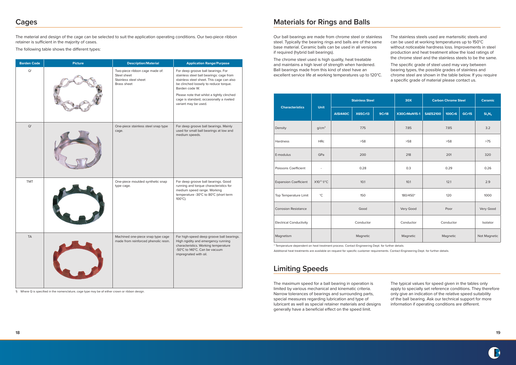

## **Cages**

The material and design of the cage can be selected to suit the application operating conditions. Our two-piece ribbon retainer is sufficient in the majority of cases.

The following table shows the different types:

## **Materials for Rings and Balls**

Our ball bearings are made from chrome steel or stainless steel. Typically the bearing rings and balls are of the same base material. Ceramic balls can be used in all versions if required (hybrid ball bearings).

The chrome steel used is high quality, heat treatable and maintains a high level of strength when hardened. Ball bearings made from this kind of steel have an excellent service life at working temperatures up to 120°C.

The stainless steels used are martensitic steels and can be used at working temperatures up to 150°C without noticeable hardness loss. Improvements in steel production and heat treatment allow the load ratings of the chrome steel and the stainless steels to be the same.

The specific grade of steel used may vary between bearing types, the possible grades of stainless and chrome steel are shown in the table below. If you require a specific grade of material please contact us.

# **Limiting Speeds**

The maximum speed for a ball bearing in operation is limited by various mechanical and kinematic criteria. Narrow tolerances of bearings and surrounding parts, special measures regarding lubrication and type of lubricant as well as special retainer materials and designs generally have a beneficial effect on the speed limit.

The typical values for speed given in the tables only apply to specially set reference conditions. They therefore only give an indication of the relative speed suitability of the ball bearing. Ask our technical support for more information if operating conditions are different.

1) Where Q is specified in the nomenclature, cage type may be of either crown or ribbon design.

| <b>Barden Code</b> | <b>Picture</b> | <b>Description/Material</b>                                                           | <b>Application Range/Purpose</b>                                                                                                                                                       |
|--------------------|----------------|---------------------------------------------------------------------------------------|----------------------------------------------------------------------------------------------------------------------------------------------------------------------------------------|
| $\mathsf{Q}^1$     |                | Two-piece ribbon cage made of:<br>Steel sheet<br>Stainless steel sheet<br>Brass sheet | For deep groove ball bearings. For<br>stainless steel ball bearings: cage from<br>stainless steel sheet. This cage can also<br>be clinched loosely to reduce torque.<br>Barden code W. |
|                    |                |                                                                                       | Please note that whilst a tightly clinched<br>cage is standard, occasionally a riveted<br>variant may be used.                                                                         |
| $\mathsf{Q}^1$     |                | One-piece stainless steel snap type<br>cage.                                          | For deep groove ball bearings. Mainly<br>used for small ball bearings at low and<br>medium speeds.                                                                                     |
| <b>TMT</b>         |                | One-piece moulded synthetic snap<br>type cage.                                        | For deep groove ball bearings. Good<br>running and torque characteristics for<br>medium speed range. Working<br>temperature -30°C to 80°C (short term<br>100°C).                       |
| <b>TA</b>          |                | Machined one-piece snap type cage<br>made from reinforced phenolic resin.             | For high-speed deep groove ball bearings.<br>High rigidity and emergency running<br>characteristics. Working temperature<br>-50°C to 140°C. Can be vacuum<br>impregnated with oil.     |

|                                | <b>Unit</b>       | <b>Stainless Steel</b> |                | <b>30X</b>   | <b>Carbon Chrome Steel</b> |                 | <b>Ceramic</b> |          |                                |
|--------------------------------|-------------------|------------------------|----------------|--------------|----------------------------|-----------------|----------------|----------|--------------------------------|
| <b>Characteristics</b>         |                   | <b>AISI440C</b>        | <b>X65Cr13</b> | <b>9Cr18</b> | X30CrMoN15-1               | <b>SAE52100</b> | 100Cr6         | GCr15    | Si <sub>3</sub> N <sub>4</sub> |
| Density                        | q/cm <sup>3</sup> |                        | 7.75           |              | 7.85                       |                 | 7.85           |          | 3.2                            |
| <b>Hardness</b>                | <b>HRc</b>        |                        | $>58$          |              | >58                        |                 | $>58$          |          |                                |
| E-modulus                      | GPa               | 200                    |                |              | 218                        | 201             |                |          | 320                            |
| Poissons Coefficient           | ÷,                | 0.28                   |                | 0.3          |                            | 0.29            |                |          |                                |
| <b>Expansion Coefficient</b>   | X10-6 1/°C        | 10.1                   |                | 10.1         |                            | 12.1            |                | 2.9      |                                |
| Top Temperature Limit          | $^{\circ}$ C      | 150                    |                | 180/450*     | 120                        |                 | 1000           |          |                                |
| <b>Corrosion Resistance</b>    |                   | Good                   |                | Very Good    | Poor                       |                 | Very Good      |          |                                |
| <b>Electrical Conductivity</b> |                   |                        | Conductor      |              | Conductor                  | Conductor       |                | Isolator |                                |
| Magnetism                      | Magnetic          |                        | Magnetic       | Magnetic     |                            |                 | Not Magnetic   |          |                                |

\* Temperature dependent on heat treatment process. Contact Engineering Dept. for further details. Additional heat treatments are available on request for specific customer requirements. Contact Engineering Dept. for further details.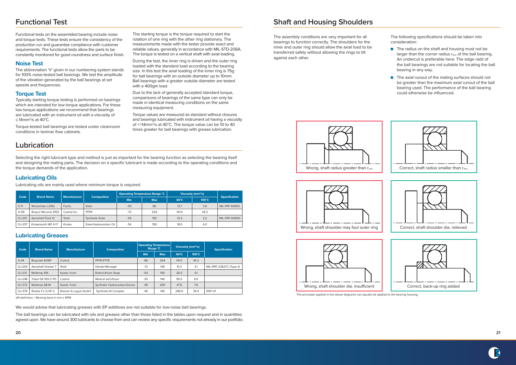# **Functional Test**

Functional tests on the assembled bearing include noise and torque tests. These tests ensure the consistency of the production run and guarantee compliance with customer requirements. The functional tests allow the parts to be constantly monitored for good roundness and surface finish.

#### **Noise Test**

The abbreviation 'V' given in our numbering system stands for 100% noise-tested ball bearings. We test the amplitude of the vibration generated by the ball bearings at set speeds and frequencies.

### **Torque Test**

Typically starting torque testing is performed on bearings which are intended for low torque applications. For these low torque applications we recommend that bearings are lubricated with an instrument oil with a viscosity of ≤ 14mm2/s at 40°C.

Torque-tested ball bearings are tested under cleanroom conditions in laminar flow cabinets.

The starting torque is the torque required to start the rotation of one ring with the other ring stationary. The measurements made with the tester provide exact and reliable values, generally in accordance with MIL-STD-206A. The torque is tested on a vertical shaft with axial loading.

During the test, the inner ring is driven and the outer ring loaded with the standard load according to the bearing size. In this test the axial loading of the inner ring is 75g for ball bearings with an outside diameter up to 10mm. Ball bearings with a greater outside diameter are tested with a 400gm load.

Due to the lack of generally accepted standard torque, comparisons of bearings of the same type can only be made in identical measuring conditions on the same measuring equipment.

Torque values are measured as standard without closures and bearings lubricated with instrument oil having a viscosity of <=14mm2/s at 40°C. The torque value can be 10 to 40 times greater for ball bearings with grease lubrication.

We would advise that lubricating greases with EP additives are not suitable for low-noise ball bearings.

The ball bearings can be lubricated with oils and greases other than those listed in the tables upon request and in quantities agreed upon. We have around 300 lubricants to choose from and can review any specific requirements not already in our portfolio.

- The radius on the shaft and housing must not be larger than the corner radius rmin of the ball bearing. An undercut is preferable here. The edge radii of the ball bearings are not suitable for locating the ball bearing in any way.
- The axial runout of the mating surfaces should not be greater than the maximum axial runout of the ball bearing used. The performance of the ball bearing could otherwise be influenced.

| Code   | <b>Brand Name</b>    | <b>Manufacturer</b> | <b>Composition</b>     |            | <b>Operating Temperature Range °C</b> | Viscosity ( $mm^2/s$ ) |                 |                      |
|--------|----------------------|---------------------|------------------------|------------|---------------------------------------|------------------------|-----------------|----------------------|
|        |                      |                     |                        | <b>Min</b> | <b>Max</b>                            | $40^{\circ}$ C         | $100^{\circ}$ C | <b>Specification</b> |
| $O-11$ | Winsorlube L245x     | <b>Fuchs</b>        | Ester                  | $-55$      | 80                                    | 12.7                   | 3.6             | MIL-PRF-6085D        |
| $O-59$ | Brayco Micronic 815Z | Castrol Inc.        | <b>PFPE</b>            | $-72$      | 204                                   | 141.0                  | 44.3            |                      |
| OJ-201 | Aeroshell Fluid 12   | Shell               | <b>Synthetic Ester</b> | $-54$      | 150                                   | 12.4                   | 3.2             | MIL-PRF-6085D        |
| OJ-257 | Klubersynth MZ 4-17  | Kluber              | Ester/Hydrocarbon Oil  | $-54$      | 150                                   | 18.0                   | 4.0             |                      |

| Code   | <b>Brand Name</b>  | <b>Manufacturer</b>  | <b>Composition</b>           | <b>Operating Temperature</b><br>Range °C |            | Viscosity ( $mm^2/s$ ) |                 | <b>Specification</b>     |  |
|--------|--------------------|----------------------|------------------------------|------------------------------------------|------------|------------------------|-----------------|--------------------------|--|
|        |                    |                      |                              | Min                                      | <b>Max</b> | $40^{\circ}$ C         | $100^{\circ}$ C |                          |  |
| $G-44$ | Braycote 601EF     | Castrol              | PFPE/PTFE                    | $-80$                                    | 204        | 141.0                  | 44.3            |                          |  |
| GJ-204 | Aeroshell Grease 7 | Shell                | Diester/Microgel             | $-73$                                    | 149        | 10.3                   | 3.1             | MIL-PRF-23827C (Type II) |  |
| GJ-231 | <b>Multemp SRL</b> | Kyodo Yushi          | Ester/Lithium Soap           | $-50$                                    | 150        | 26.0                   | 5.1             |                          |  |
| GJ-248 | Tribol GR 100-2 PD | Castrol              | Mineral oil/Lithium          | $-35$                                    | 140        | 95.0                   | 9.0             |                          |  |
| GJ-372 | Multemp SB-M       | Kyodo Yushi          | Synthetic Hydrocarbon/Diurea | $-40$                                    | 200        | 47.6                   | 7.9             |                          |  |
| GJ-378 | Rivolta F.L.G.HF-2 | Bremer & Lequil GmbH | Synthetic/Al Complex         | $-40$                                    | 140        | 280.0                  | 35.4            | NSF-H1                   |  |

dN definition = Bearing bore in mm x RPM

# **Lubrication**

Selecting the right lubricant type and method is just as important for the bearing function as selecting the bearing itself and designing the mating parts. The decision on a specific lubricant is made according to the operating conditions and the torque demands of the application.

### **Lubricating Oils**

Lubricating oils are mainly used where minimum torque is required.





The principles applied in the above diagrams can equally be applied to the bearing housing.









# **Shaft and Housing Shoulders**

The assembly conditions are very important for all bearings to function correctly. The shoulders for the inner and outer ring should allow the axial load to be transferred safely without allowing the rings to tilt against each other.

The following specifications should be taken into consideration:

### **Lubricating Greases**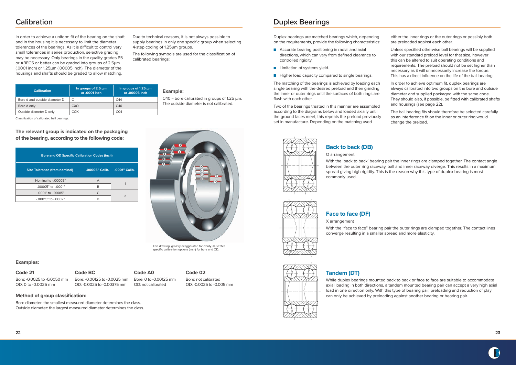**22 23**



# **Calibration**

In order to achieve a uniform fit of the bearing on the shaft and in the housing it is necessary to limit the diameter tolerances of the bearings. As it is difficult to control very small tolerances in series production, selective grading may be necessary. Only bearings in the quality grades P5 or ABEC5 or better can be graded into groups of 2.5μm (.0001 inch) or 1.25μm (.00005 inch). The diameter of the housings and shafts should be graded to allow matching.

Due to technical reasons, it is not always possible to supply bearings in only one specific group when selecting 4-step coding of 1.25µm groups.

The following symbols are used for the classification of calibrated bearings:

Classification of calibrated ball bearings.

| <b>Calibration</b>            | In groups of $2.5 \mu m$<br>or .0001 inch | In groups of 1.25 $\mu$ m<br>or .00005 inch | <b>Example:</b>                                    |
|-------------------------------|-------------------------------------------|---------------------------------------------|----------------------------------------------------|
| Bore d and outside diameter D |                                           | C44                                         | $C40$ = bore calibrated in groups of 1.25 $\mu$ m. |
| Bore d only                   | CXO                                       | C <sub>40</sub>                             | The outside diameter is not calibrated.            |
| Outside diameter D only       | COX                                       | CO <sub>4</sub>                             |                                                    |

#### **Examples:**

**Code 21** Bore: -0.0025 to -0.0050 mm OD: 0 to -0.0025 mm

**Code BC** Bore: -0.00125 to -0.0025 mm

OD: -0.0025 to -0.00375 mm **Code A0** Bore: 0 to -0.00125 mm OD: not calibrated

#### **Code 02**

Bore: not calibrated OD: -0.0025 to -0.005 mm

**Method of group classification:**

Bore diameter: the smallest measured diameter determines the class. Outside diameter: the largest measured diameter determines the class.

#### **The relevant group is indicated on the packaging of the bearing, according to the following code:**

# **Duplex Bearings**

Duplex bearings are matched bearings which, depending on the requirements, provide the following characteristics:

- Accurate bearing positioning in radial and axial directions, which can vary from defined clearance to controlled rigidity.
- Limitation of systems yield.
- Higher load capacity compared to single bearings.

The matching of the bearings is achieved by loading each single bearing with the desired preload and then grinding the inner or outer rings until the surfaces of both rings are flush with each other.



This drawing, grossly exaggerated for clarity, illustrates specific calibration options (inch) for bore and OD.

Two of the bearings treated in this manner are assembled according to the diagrams below and loaded axially until the ground faces meet, this repeats the preload previously set in manufacture. Depending on the matching used



either the inner rings or the outer rings or possibly both are preloaded against each other.

Unless specified otherwise ball bearings will be supplied with our standard preload level for that size, however this can be altered to suit operating conditions and requirements. The preload should not be set higher than necessary as it will unnecessarily increase the torque. This has a direct influence on the life of the ball bearing.

In order to achieve optimum fit, duplex bearings are always calibrated into two groups on the bore and outside diameter and supplied packaged with the same code. They should also, if possible, be fitted with calibrated shafts and housings (see page 22).

The ball bearing fits should therefore be selected carefully as an interference fit on the inner or outer ring would change the preload.

### **Back to back (DB)**

O arrangement

With the 'back to back' bearing pair the inner rings are clamped together. The contact angle between the outer ring raceway, ball and inner raceway diverge. This results in a maximum spread giving high rigidity. This is the reason why this type of duplex bearing is most

commonly used.





**Face to face (DF)**

X arrangement

With the "face to face" bearing pair the outer rings are clamped together. The contact lines converge resulting in a smaller spread and more elasticity.

### **Tandem (DT)**

While duplex bearings mounted back to back or face to face are suitable to accommodate axial loading in both directions, a tandem mounted bearing pair can accept a very high axial load in one direction only. With this type of bearing pair, preloading and reduction of play can only be achieved by preloading against another bearing or bearing pair.

| <b>Bore and OD Specific Calibration Codes (inch)</b> |                |               |  |  |  |  |  |  |
|------------------------------------------------------|----------------|---------------|--|--|--|--|--|--|
| <b>Size Tolerance (from nominal)</b>                 | .00005" Calib. | .0001" Calib. |  |  |  |  |  |  |
| Nominal to -,00005"                                  | A              |               |  |  |  |  |  |  |
| $-0.00005"$ to $-0.0001"$                            | R              |               |  |  |  |  |  |  |
| $-.0001"$ to $-.00015"$                              | C              | $\mathcal{P}$ |  |  |  |  |  |  |
| -.00015" to -.0002"                                  | D              |               |  |  |  |  |  |  |